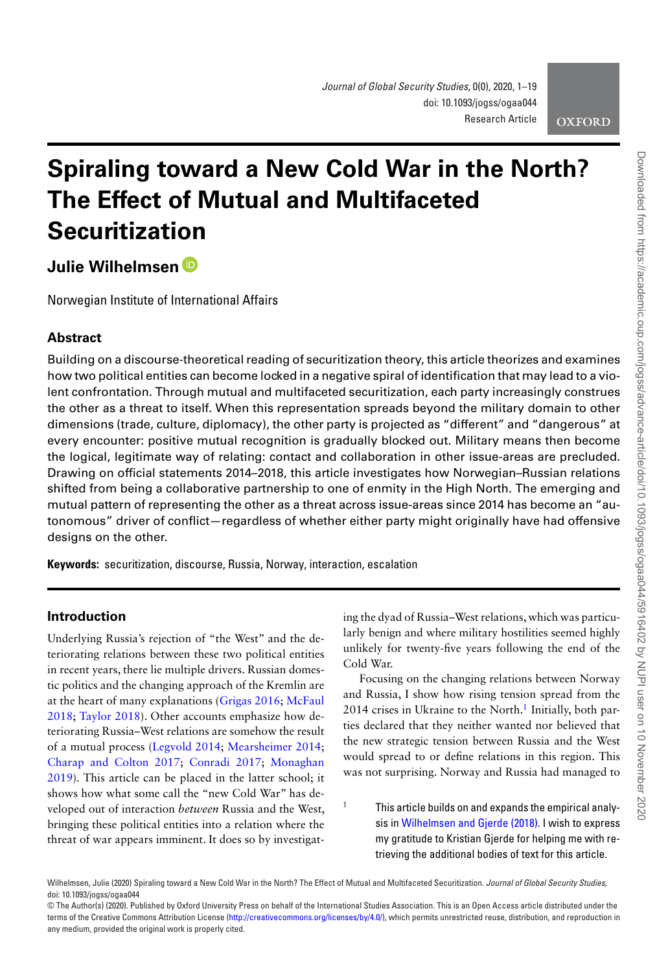

# <span id="page-0-1"></span>**Spiraling toward a New Cold War in the North? The Effect of Mutual and Multifaceted Securitization**

# **Julie Wilhelmsen**

Norwegian Institute of International Affairs

# **Abstract**

Building on a discourse-theoretical reading of securitization theory, this article theorizes and examines how two political entities can become locked in a negative spiral of identification that may lead to a violent confrontation. Through mutual and multifaceted securitization, each party increasingly construes the other as a threat to itself. When this representation spreads beyond the military domain to other dimensions (trade, culture, diplomacy), the other party is projected as "different" and "dangerous" at every encounter: positive mutual recognition is gradually blocked out. Military means then become the logical, legitimate way of relating: contact and collaboration in other issue-areas are precluded. Drawing on official statements 2014–2018, this article investigates how Norwegian–Russian relations shifted from being a collaborative partnership to one of enmity in the High North. The emerging and mutual pattern of representing the other as a threat across issue-areas since 2014 has become an "autonomous" driver of conflict—regardless of whether either party might originally have had offensive designs on the other.

**Keywords:** securitization, discourse, Russia, Norway, interaction, escalation

# **Introduction**

Underlying Russia's rejection of "the West" and the deteriorating relations between these two political entities in recent years, there lie multiple drivers. Russian domestic politics and the changing approach of the Kremlin are at the heart of many explanations [\(Grigas 2016;](#page-17-0) McFaul 2018; [Taylor 2018\). Other accounts emphasize how de](#page-18-0)teriorating Russia–West relations are somehow the result of a mutual process [\(Legvold 2014;](#page-18-2) [Mearsheimer 2014;](#page-18-3) [Charap and Colton 2017;](#page-17-1) [Conradi 2017;](#page-17-2) Monaghan [2019\). This article can be placed in the latter school; it](#page-18-4) shows how what some call the "new Cold War" has developed out of interaction *between* Russia and the West, bringing these political entities into a relation where the threat of war appears imminent. It does so by investigating the dyad of Russia–West relations, which was particularly benign and where military hostilities seemed highly unlikely for twenty-five years following the end of the Cold War.

Focusing on the changing relations between Norway and Russia, I show how rising tension spread from the  $2014$  crises in Ukraine to the North.<sup>1</sup> Initially, both parties declared that they neither wanted nor believed that the new strategic tension between Russia and the West would spread to or define relations in this region. This was not surprising. Norway and Russia had managed to

<span id="page-0-0"></span>This article builds on and expands the empirical analysis in [Wilhelmsen and Gjerde \(2018\).](#page-18-5) I wish to express my gratitude to Kristian Gjerde for helping me with retrieving the additional bodies of text for this article.

Wilhelmsen, Julie (2020) Spiraling toward a New Cold War in the North? The Effect of Mutual and Multifaceted Securitization. *Journal of Global Security Studies*, doi: 10.1093/jogss/ogaa044

<sup>©</sup> The Author(s) (2020). Published by Oxford University Press on behalf of the International Studies Association. This is an Open Access article distributed under the terms of the Creative Commons Attribution License [\(http://creativecommons.org/licenses/by/4.0/\)](http://creativecommons.org/licenses/by/4.0/), which permits unrestricted reuse, distribution, and reproduction in any medium, provided the original work is properly cited.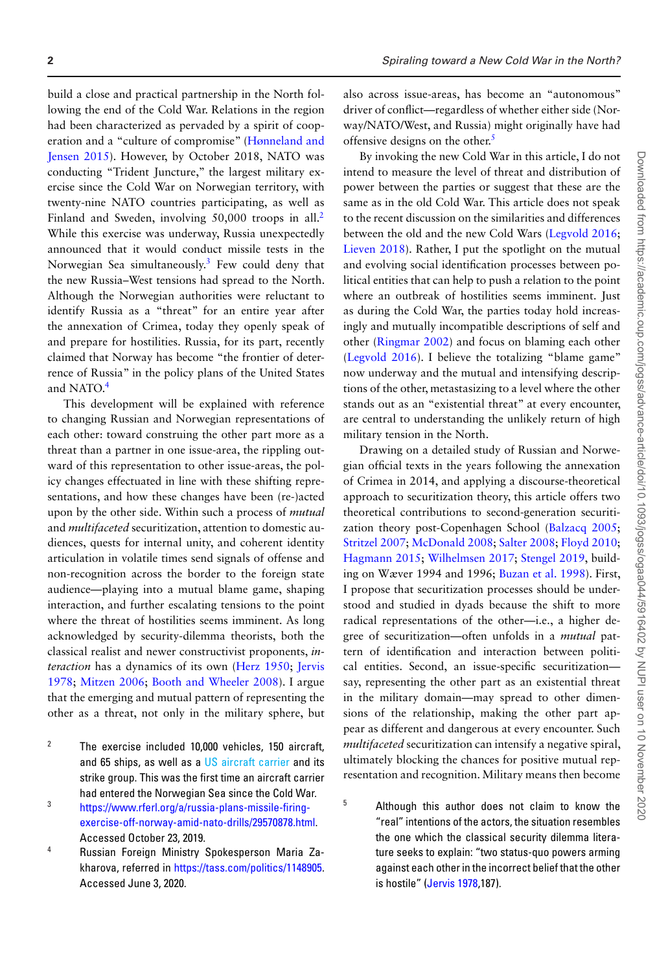build a close and practical partnership in the North following the end of the Cold War. Relations in the region had been characterized as pervaded by a spirit of cooperation and a "culture of compromise" (Hønneland and [Jensen 2015\). However, by October 2018, NATO was](#page-18-6) conducting "Trident Juncture," the largest military exercise since the Cold War on Norwegian territory, with twenty-nine NATO countries participating, as well as Finland and Sweden, involving 50,000 troops in all.<sup>2</sup> While this exercise was underway, Russia unexpectedly announced that it would conduct missile tests in the Norwegian Sea simultaneously[.3](#page-1-1) Few could deny that the new Russia–West tensions had spread to the North. Although the Norwegian authorities were reluctant to identify Russia as a "threat" for an entire year after the annexation of Crimea, today they openly speak of and prepare for hostilities. Russia, for its part, recently claimed that Norway has become "the frontier of deterrence of Russia" in the policy plans of the United States and NATO[.4](#page-1-2)

This development will be explained with reference to changing Russian and Norwegian representations of each other: toward construing the other part more as a threat than a partner in one issue-area, the rippling outward of this representation to other issue-areas, the policy changes effectuated in line with these shifting representations, and how these changes have been (re-)acted upon by the other side. Within such a process of *mutual* and *multifaceted* securitization, attention to domestic audiences, quests for internal unity, and coherent identity articulation in volatile times send signals of offense and non-recognition across the border to the foreign state audience—playing into a mutual blame game, shaping interaction, and further escalating tensions to the point where the threat of hostilities seems imminent. As long acknowledged by security-dilemma theorists, both the classical realist and newer constructivist proponents, *interaction* [has a dynamics of its own \(](#page-18-7)[Herz 1950](#page-17-3)[;](#page-18-7) Jervis 1978; [Mitzen 2006;](#page-18-8) [Booth and Wheeler 2008\)](#page-17-4). I argue that the emerging and mutual pattern of representing the other as a threat, not only in the military sphere, but

- <span id="page-1-0"></span><sup>2</sup> The exercise included 10,000 vehicles, 150 aircraft, and 65 ships, as well as a [US aircraft carrier](#page-0-1) and its strike group. This was the first time an aircraft carrier had entered the Norwegian Sea since the Cold War.
- <span id="page-1-1"></span><sup>3</sup> https://www.rferl.org/a/russia-plans-missile-firing[exercise-off-norway-amid-nato-drills/29570878.html.](https://www.rferl.org/a/russia-plans-missile-firing-exercise-off-norway-amid-nato-drills/29570878.html) Accessed October 23, 2019.
- <span id="page-1-2"></span><sup>4</sup> Russian Foreign Ministry Spokesperson Maria Zakharova, referred in [https://tass.com/politics/1148905.](https://tass.com/politics/1148905) Accessed June 3, 2020.

also across issue-areas, has become an "autonomous" driver of conflict—regardless of whether either side (Norway/NATO/West, and Russia) might originally have had offensive designs on the other.<sup>5</sup>

By invoking the new Cold War in this article, I do not intend to measure the level of threat and distribution of power between the parties or suggest that these are the same as in the old Cold War. This article does not speak to the recent discussion on the similarities and differences between the old and the new Cold Wars [\(Legvold 2016;](#page-18-9) [Lieven 2018\)](#page-18-10). Rather, I put the spotlight on the mutual and evolving social identification processes between political entities that can help to push a relation to the point where an outbreak of hostilities seems imminent. Just as during the Cold War, the parties today hold increasingly and mutually incompatible descriptions of self and other [\(Ringmar 2002\)](#page-18-11) and focus on blaming each other [\(Legvold 2016\)](#page-18-9). I believe the totalizing "blame game" now underway and the mutual and intensifying descriptions of the other, metastasizing to a level where the other stands out as an "existential threat" at every encounter, are central to understanding the unlikely return of high military tension in the North.

Drawing on a detailed study of Russian and Norwegian official texts in the years following the annexation of Crimea in 2014, and applying a discourse-theoretical approach to securitization theory, this article offers two theoretical contributions to second-generation securitization theory post-Copenhagen School [\(Balzacq 2005;](#page-17-5) [Stritzel 2007;](#page-18-12) [McDonald 2008;](#page-18-13) [Salter 2008;](#page-18-14) [Floyd 2010;](#page-17-6) [Hagmann 2015;](#page-17-7) [Wilhelmsen 2017;](#page-18-15) [Stengel 2019,](#page-18-16) building on Wæver 1994 and 1996; [Buzan et al. 1998\)](#page-17-8). First, I propose that securitization processes should be understood and studied in dyads because the shift to more radical representations of the other—i.e., a higher degree of securitization—often unfolds in a *mutual* pattern of identification and interaction between political entities. Second, an issue-specific securitization say, representing the other part as an existential threat in the military domain—may spread to other dimensions of the relationship, making the other part appear as different and dangerous at every encounter. Such *multifaceted* securitization can intensify a negative spiral, ultimately blocking the chances for positive mutual representation and recognition. Military means then become

<span id="page-1-3"></span><sup>5</sup> Although this author does not claim to know the "real" intentions of the actors, the situation resembles the one which the classical security dilemma literature seeks to explain: "two status-quo powers arming against each other in the incorrect belief that the other is hostile" [\(Jervis 1978,](#page-18-7)187).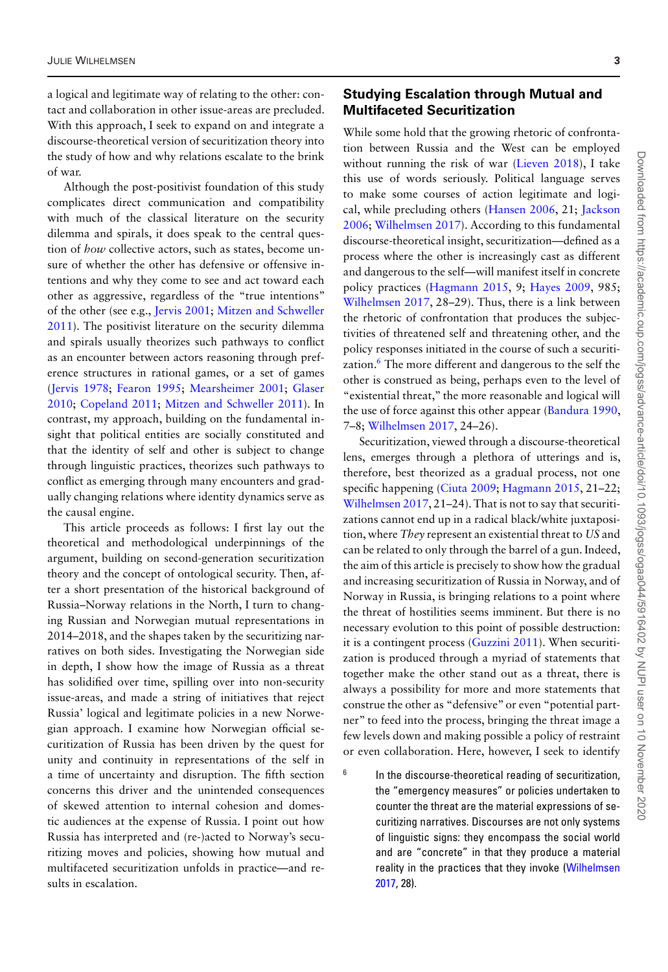a logical and legitimate way of relating to the other: contact and collaboration in other issue-areas are precluded. With this approach, I seek to expand on and integrate a discourse-theoretical version of securitization theory into the study of how and why relations escalate to the brink of war.

Although the post-positivist foundation of this study complicates direct communication and compatibility with much of the classical literature on the security dilemma and spirals, it does speak to the central question of *how* collective actors, such as states, become unsure of whether the other has defensive or offensive intentions and why they come to see and act toward each other as aggressive, regardless of the "true intentions" of the other (see e.g., [Jervis 2001;](#page-18-17) Mitzen and Schweller [2011\). The positivist literature on the security dilemma](#page-18-18) and spirals usually theorizes such pathways to conflict as an encounter between actors reasoning through preference structures in rational games, or a set of games [\(Jervis 1978;](#page-18-7) [Fearon 1995;](#page-17-9) [Mearsheimer 2001;](#page-18-19) Glaser 2010; [Copeland 2011;](#page-17-11) [Mitzen and Schweller 2011\). In](#page-17-10) contrast, my approach, building on the fundamental insight that political entities are socially constituted and that the identity of self and other is subject to change through linguistic practices, theorizes such pathways to conflict as emerging through many encounters and gradually changing relations where identity dynamics serve as the causal engine.

This article proceeds as follows: I first lay out the theoretical and methodological underpinnings of the argument, building on second-generation securitization theory and the concept of ontological security. Then, after a short presentation of the historical background of Russia–Norway relations in the North, I turn to changing Russian and Norwegian mutual representations in 2014–2018, and the shapes taken by the securitizing narratives on both sides. Investigating the Norwegian side in depth, I show how the image of Russia as a threat has solidified over time, spilling over into non-security issue-areas, and made a string of initiatives that reject Russia' logical and legitimate policies in a new Norwegian approach. I examine how Norwegian official securitization of Russia has been driven by the quest for unity and continuity in representations of the self in a time of uncertainty and disruption. The fifth section concerns this driver and the unintended consequences of skewed attention to internal cohesion and domestic audiences at the expense of Russia. I point out how Russia has interpreted and (re-)acted to Norway's securitizing moves and policies, showing how mutual and multifaceted securitization unfolds in practice—and results in escalation.

While some hold that the growing rhetoric of confrontation between Russia and the West can be employed without running the risk of war [\(Lieven 2018\)](#page-18-10), I take this use of words seriously. Political language serves to make some courses of action legitimate and logical, while precluding others [\(Hansen 2006,](#page-17-12) 21; Jackson 2006; [Wilhelmsen 2017\). According to this fundamental](#page-18-20) discourse-theoretical insight, securitization—defined as a process where the other is increasingly cast as different and dangerous to the self—will manifest itself in concrete policy practices [\(Hagmann 2015,](#page-17-7) 9; [Hayes 2009,](#page-17-13) 985; [Wilhelmsen 2017,](#page-18-15) 28–29). Thus, there is a link between the rhetoric of confrontation that produces the subjectivities of threatened self and threatening other, and the policy responses initiated in the course of such a securitization.<sup>6</sup> The more different and dangerous to the self the other is construed as being, perhaps even to the level of "existential threat," the more reasonable and logical will the use of force against this other appear [\(Bandura 1990,](#page-17-14) 7–8; [Wilhelmsen 2017,](#page-18-15) 24–26).

Securitization, viewed through a discourse-theoretical lens, emerges through a plethora of utterings and is, therefore, best theorized as a gradual process, not one specific happening [\(Ciuta 2009;](#page-17-15) [Hagmann 2015,](#page-17-7) 21-22; [Wilhelmsen 2017,](#page-18-15) 21–24). That is not to say that securitizations cannot end up in a radical black/white juxtaposition, where *They* represent an existential threat to *US* and can be related to only through the barrel of a gun. Indeed, the aim of this article is precisely to show how the gradual and increasing securitization of Russia in Norway, and of Norway in Russia, is bringing relations to a point where the threat of hostilities seems imminent. But there is no necessary evolution to this point of possible destruction: it is a contingent process [\(Guzzini 2011\)](#page-17-16). When securitization is produced through a myriad of statements that together make the other stand out as a threat, there is always a possibility for more and more statements that construe the other as "defensive" or even "potential partner" to feed into the process, bringing the threat image a few levels down and making possible a policy of restraint or even collaboration. Here, however, I seek to identify

<span id="page-2-0"></span><sup>6</sup> In the discourse-theoretical reading of securitization, the "emergency measures" or policies undertaken to counter the threat are the material expressions of securitizing narratives. Discourses are not only systems of linguistic signs: they encompass the social world and are "concrete" in that they produce a material [reality in the practices that they invoke \(Wilhelmsen](#page-18-15) 2017, 28).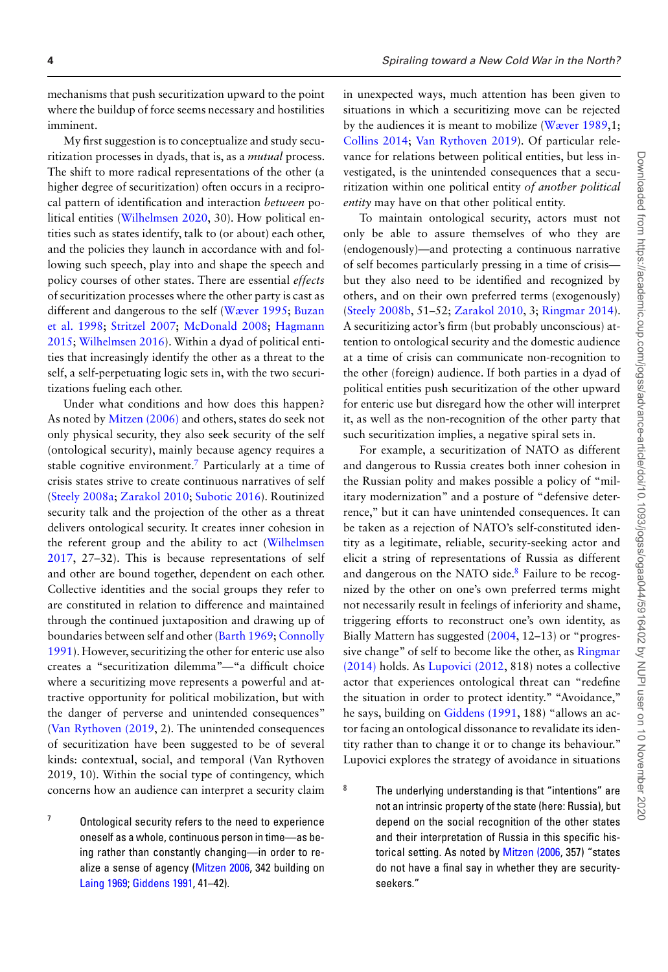mechanisms that push securitization upward to the point where the buildup of force seems necessary and hostilities imminent.

My first suggestion is to conceptualize and study securitization processes in dyads, that is, as a *mutual* process. The shift to more radical representations of the other (a higher degree of securitization) often occurs in a reciprocal pattern of identification and interaction *between* political entities [\(Wilhelmsen 2020,](#page-18-21) 30). How political entities such as states identify, talk to (or about) each other, and the policies they launch in accordance with and following such speech, play into and shape the speech and policy courses of other states. There are essential *effects* of securitization processes where the other party is cast as [different and dangerous to the self \(](#page-17-8)[Wæver 1995](#page-18-22)[;](#page-17-8) Buzan et al. 1998; [Stritzel 2007;](#page-18-12) [McDonald 2008;](#page-18-13) Hagmann 2015; [Wilhelmsen 2016\). Within a dyad of political enti](#page-17-7)ties that increasingly identify the other as a threat to the self, a self-perpetuating logic sets in, with the two securitizations fueling each other.

Under what conditions and how does this happen? As noted by [Mitzen \(2006\)](#page-18-8) and others, states do seek not only physical security, they also seek security of the self (ontological security), mainly because agency requires a stable cognitive environment[.7](#page-3-0) Particularly at a time of crisis states strive to create continuous narratives of self [\(Steely 2008a;](#page-18-24) [Zarakol 2010;](#page-18-25) [Subotic 2016\)](#page-18-26). Routinized security talk and the projection of the other as a threat delivers ontological security. It creates inner cohesion in the referent group and the ability to act (Wilhelmsen [2017, 27–32\). This is because representations of self](#page-18-15) and other are bound together, dependent on each other. Collective identities and the social groups they refer to are constituted in relation to difference and maintained through the continued juxtaposition and drawing up of boundaries between self and other [\(Barth 1969;](#page-17-17) Connolly [1991\). However, securitizing the other for enteric use also](#page-17-18) creates a "securitization dilemma"—"a difficult choice where a securitizing move represents a powerful and attractive opportunity for political mobilization, but with the danger of perverse and unintended consequences" [\(Van Rythoven \(2019,](#page-18-27) 2). The unintended consequences of securitization have been suggested to be of several kinds: contextual, social, and temporal (Van Rythoven 2019, 10). Within the social type of contingency, which concerns how an audience can interpret a security claim

<span id="page-3-0"></span> $7$  Ontological security refers to the need to experience oneself as a whole, continuous person in time—as being rather than constantly changing—in order to realize a sense of agency [\(Mitzen 2006,](#page-18-8) 342 building on [Laing 1969;](#page-18-28) [Giddens 1991,](#page-17-19) 41–42).

in unexpected ways, much attention has been given to situations in which a securitizing move can be rejected by the audiences it is meant to mobilize [\(Wæver 1989,](#page-18-29)1; [Collins 2014;](#page-17-20) [Van Rythoven 2019\)](#page-18-27). Of particular relevance for relations between political entities, but less investigated, is the unintended consequences that a securitization within one political entity *of another political entity* may have on that other political entity.

To maintain ontological security, actors must not only be able to assure themselves of who they are (endogenously)—and protecting a continuous narrative of self becomes particularly pressing in a time of crisis but they also need to be identified and recognized by others, and on their own preferred terms (exogenously) [\(Steely 2008b,](#page-18-30) 51–52; [Zarakol 2010,](#page-18-25) 3; [Ringmar 2014\)](#page-18-31). A securitizing actor's firm (but probably unconscious) attention to ontological security and the domestic audience at a time of crisis can communicate non-recognition to the other (foreign) audience. If both parties in a dyad of political entities push securitization of the other upward for enteric use but disregard how the other will interpret it, as well as the non-recognition of the other party that such securitization implies, a negative spiral sets in.

For example, a securitization of NATO as different and dangerous to Russia creates both inner cohesion in the Russian polity and makes possible a policy of "military modernization" and a posture of "defensive deterrence," but it can have unintended consequences. It can be taken as a rejection of NATO's self-constituted identity as a legitimate, reliable, security-seeking actor and elicit a string of representations of Russia as different and dangerous on the NATO side. $8$  Failure to be recognized by the other on one's own preferred terms might not necessarily result in feelings of inferiority and shame, triggering efforts to reconstruct one's own identity, as Bially Mattern has suggested [\(2004,](#page-17-21) 12–13) or "progres[sive change" of self to become like the other, as](#page-18-31) Ringmar (2014) holds. As [Lupovici \(2012,](#page-18-32) 818) notes a collective actor that experiences ontological threat can "redefine the situation in order to protect identity." "Avoidance," he says, building on [Giddens \(1991,](#page-17-19) 188) "allows an actor facing an ontological dissonance to revalidate its identity rather than to change it or to change its behaviour." Lupovici explores the strategy of avoidance in situations

<span id="page-3-1"></span><sup>8</sup> The underlying understanding is that "intentions" are not an intrinsic property of the state (here: Russia), but depend on the social recognition of the other states and their interpretation of Russia in this specific his-torical setting. As noted by [Mitzen \(2006,](#page-18-8) 357) "states do not have a final say in whether they are securityseekers."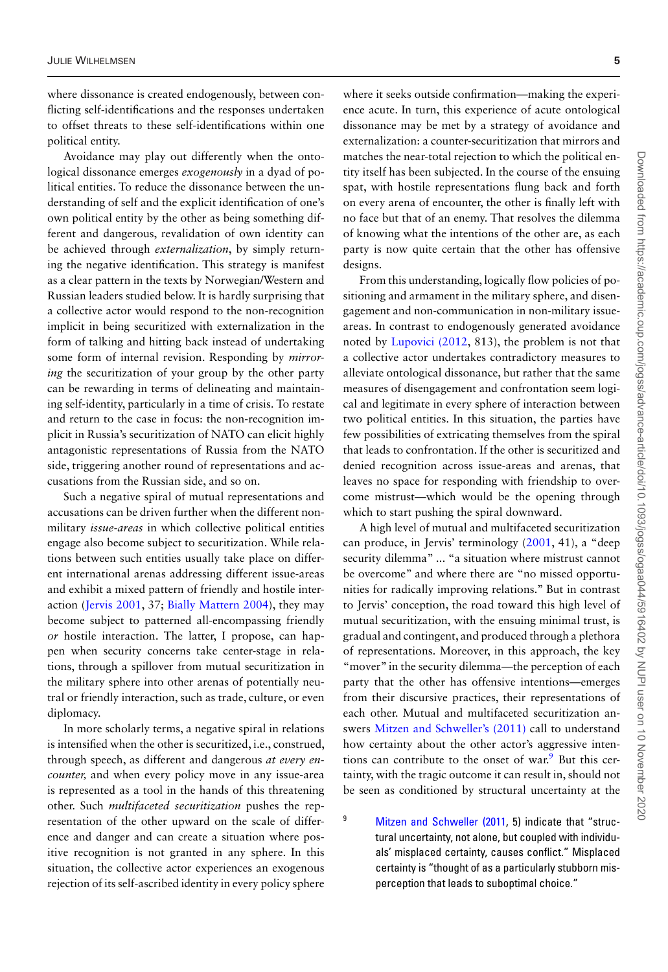where dissonance is created endogenously, between conflicting self-identifications and the responses undertaken to offset threats to these self-identifications within one political entity.

Avoidance may play out differently when the ontological dissonance emerges *exogenously* in a dyad of political entities. To reduce the dissonance between the understanding of self and the explicit identification of one's own political entity by the other as being something different and dangerous, revalidation of own identity can be achieved through *externalization*, by simply returning the negative identification. This strategy is manifest as a clear pattern in the texts by Norwegian/Western and Russian leaders studied below. It is hardly surprising that a collective actor would respond to the non-recognition implicit in being securitized with externalization in the form of talking and hitting back instead of undertaking some form of internal revision. Responding by *mirroring* the securitization of your group by the other party can be rewarding in terms of delineating and maintaining self-identity, particularly in a time of crisis. To restate and return to the case in focus: the non-recognition implicit in Russia's securitization of NATO can elicit highly antagonistic representations of Russia from the NATO side, triggering another round of representations and accusations from the Russian side, and so on.

Such a negative spiral of mutual representations and accusations can be driven further when the different nonmilitary *issue-areas* in which collective political entities engage also become subject to securitization. While relations between such entities usually take place on different international arenas addressing different issue-areas and exhibit a mixed pattern of friendly and hostile interaction [\(Jervis 2001,](#page-18-17) 37; [Bially Mattern 2004\)](#page-17-21), they may become subject to patterned all-encompassing friendly *or* hostile interaction. The latter, I propose, can happen when security concerns take center-stage in relations, through a spillover from mutual securitization in the military sphere into other arenas of potentially neutral or friendly interaction, such as trade, culture, or even diplomacy.

In more scholarly terms, a negative spiral in relations is intensified when the other is securitized, i.e., construed, through speech, as different and dangerous *at every encounter,* and when every policy move in any issue-area is represented as a tool in the hands of this threatening other. Such *multifaceted securitization* pushes the representation of the other upward on the scale of difference and danger and can create a situation where positive recognition is not granted in any sphere. In this situation, the collective actor experiences an exogenous rejection of its self-ascribed identity in every policy sphere

where it seeks outside confirmation—making the experience acute. In turn, this experience of acute ontological dissonance may be met by a strategy of avoidance and externalization: a counter-securitization that mirrors and matches the near-total rejection to which the political entity itself has been subjected. In the course of the ensuing spat, with hostile representations flung back and forth on every arena of encounter, the other is finally left with no face but that of an enemy. That resolves the dilemma of knowing what the intentions of the other are, as each party is now quite certain that the other has offensive designs.

From this understanding, logically flow policies of positioning and armament in the military sphere, and disengagement and non-communication in non-military issueareas. In contrast to endogenously generated avoidance noted by [Lupovici \(2012,](#page-18-32) 813), the problem is not that a collective actor undertakes contradictory measures to alleviate ontological dissonance, but rather that the same measures of disengagement and confrontation seem logical and legitimate in every sphere of interaction between two political entities. In this situation, the parties have few possibilities of extricating themselves from the spiral that leads to confrontation. If the other is securitized and denied recognition across issue-areas and arenas, that leaves no space for responding with friendship to overcome mistrust—which would be the opening through which to start pushing the spiral downward.

A high level of mutual and multifaceted securitization can produce, in Jervis' terminology [\(2001,](#page-18-17) 41), a "deep security dilemma" ... "a situation where mistrust cannot be overcome" and where there are "no missed opportunities for radically improving relations." But in contrast to Jervis' conception, the road toward this high level of mutual securitization, with the ensuing minimal trust, is gradual and contingent, and produced through a plethora of representations. Moreover, in this approach, the key "mover" in the security dilemma—the perception of each party that the other has offensive intentions—emerges from their discursive practices, their representations of each other. Mutual and multifaceted securitization answers [Mitzen and Schweller's \(2011\)](#page-18-18) call to understand how certainty about the other actor's aggressive intentions can contribute to the onset of war.<sup>9</sup> But this certainty, with the tragic outcome it can result in, should not be seen as conditioned by structural uncertainty at the

<span id="page-4-0"></span>9 [Mitzen and Schweller \(2011,](#page-18-18) 5) indicate that "structural uncertainty, not alone, but coupled with individuals' misplaced certainty, causes conflict." Misplaced certainty is "thought of as a particularly stubborn misperception that leads to suboptimal choice."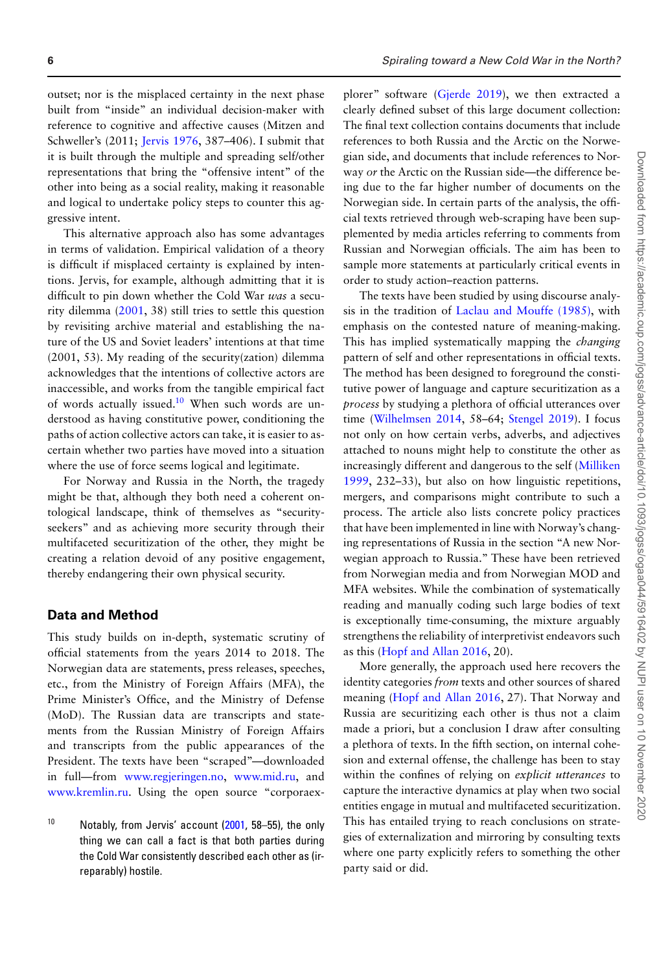outset; nor is the misplaced certainty in the next phase built from "inside" an individual decision-maker with reference to cognitive and affective causes (Mitzen and Schweller's (2011; [Jervis 1976,](#page-18-33) 387–406). I submit that it is built through the multiple and spreading self/other representations that bring the "offensive intent" of the other into being as a social reality, making it reasonable and logical to undertake policy steps to counter this aggressive intent.

This alternative approach also has some advantages in terms of validation. Empirical validation of a theory is difficult if misplaced certainty is explained by intentions. Jervis, for example, although admitting that it is difficult to pin down whether the Cold War *was* a security dilemma [\(2001,](#page-18-17) 38) still tries to settle this question by revisiting archive material and establishing the nature of the US and Soviet leaders' intentions at that time (2001, 53). My reading of the security(zation) dilemma acknowledges that the intentions of collective actors are inaccessible, and works from the tangible empirical fact of words actually issued. $10$  When such words are understood as having constitutive power, conditioning the paths of action collective actors can take, it is easier to ascertain whether two parties have moved into a situation where the use of force seems logical and legitimate.

For Norway and Russia in the North, the tragedy might be that, although they both need a coherent ontological landscape, think of themselves as "securityseekers" and as achieving more security through their multifaceted securitization of the other, they might be creating a relation devoid of any positive engagement, thereby endangering their own physical security.

## **Data and Method**

This study builds on in-depth, systematic scrutiny of official statements from the years 2014 to 2018. The Norwegian data are statements, press releases, speeches, etc., from the Ministry of Foreign Affairs (MFA), the Prime Minister's Office, and the Ministry of Defense (MoD). The Russian data are transcripts and statements from the Russian Ministry of Foreign Affairs and transcripts from the public appearances of the President. The texts have been "scraped"—downloaded in full—from [www.regjeringen.no,](http://www.regjeringen.no) [www.mid.ru,](http://www.mid.ru) and [www.kremlin.ru.](http://www.kremlin.ru) Using the open source "corporaex-

<span id="page-5-0"></span> $10$  Notably, from Jervis' account [\(2001,](#page-18-17) 58-55), the only thing we can call a fact is that both parties during the Cold War consistently described each other as (irreparably) hostile.

plorer" software [\(Gjerde 2019\)](#page-17-22), we then extracted a clearly defined subset of this large document collection: The final text collection contains documents that include references to both Russia and the Arctic on the Norwegian side, and documents that include references to Norway *or* the Arctic on the Russian side—the difference being due to the far higher number of documents on the Norwegian side. In certain parts of the analysis, the official texts retrieved through web-scraping have been supplemented by media articles referring to comments from Russian and Norwegian officials. The aim has been to sample more statements at particularly critical events in order to study action–reaction patterns.

The texts have been studied by using discourse analysis in the tradition of [Laclau and Mouffe \(1985\),](#page-18-34) with emphasis on the contested nature of meaning-making. This has implied systematically mapping the *changing* pattern of self and other representations in official texts. The method has been designed to foreground the constitutive power of language and capture securitization as a *process* by studying a plethora of official utterances over time [\(Wilhelmsen 2014,](#page-18-35) 58–64; [Stengel 2019\)](#page-18-16). I focus not only on how certain verbs, adverbs, and adjectives attached to nouns might help to constitute the other as increasingly different and dangerous to the self (Milliken [1999, 232–33\), but also on how linguistic repetitions,](#page-18-36) mergers, and comparisons might contribute to such a process. The article also lists concrete policy practices that have been implemented in line with Norway's changing representations of Russia in the section "A new Norwegian approach to Russia." These have been retrieved from Norwegian media and from Norwegian MOD and MFA websites. While the combination of systematically reading and manually coding such large bodies of text is exceptionally time-consuming, the mixture arguably strengthens the reliability of interpretivist endeavors such as this [\(Hopf and Allan 2016,](#page-17-23) 20).

More generally, the approach used here recovers the identity categories *from* texts and other sources of shared meaning [\(Hopf and Allan 2016,](#page-17-23) 27). That Norway and Russia are securitizing each other is thus not a claim made a priori, but a conclusion I draw after consulting a plethora of texts. In the fifth section, on internal cohesion and external offense, the challenge has been to stay within the confines of relying on *explicit utterances* to capture the interactive dynamics at play when two social entities engage in mutual and multifaceted securitization. This has entailed trying to reach conclusions on strategies of externalization and mirroring by consulting texts where one party explicitly refers to something the other party said or did.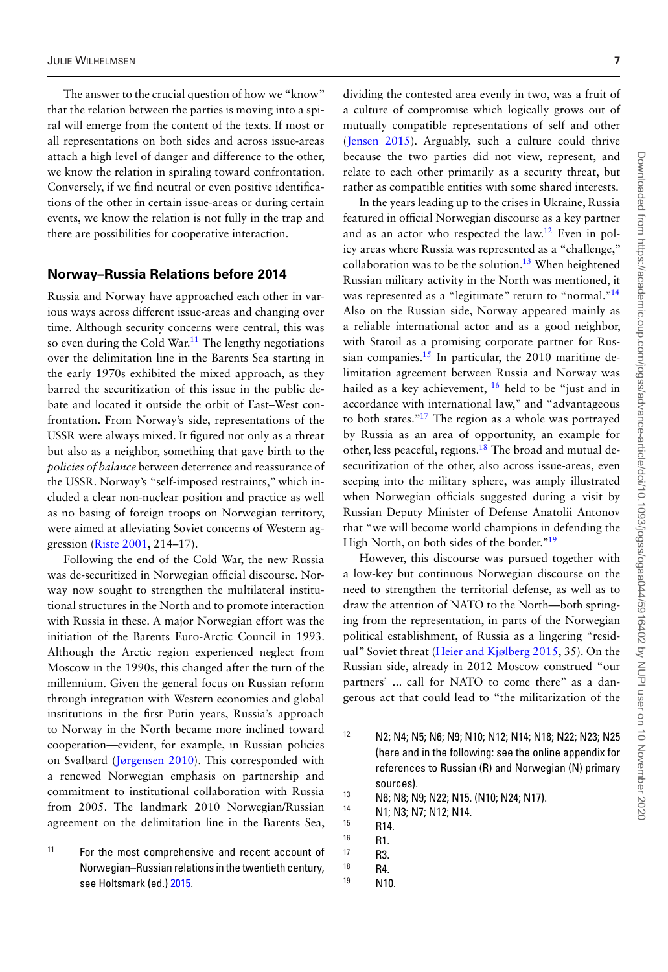The answer to the crucial question of how we "know" that the relation between the parties is moving into a spiral will emerge from the content of the texts. If most or all representations on both sides and across issue-areas attach a high level of danger and difference to the other, we know the relation in spiraling toward confrontation. Conversely, if we find neutral or even positive identifications of the other in certain issue-areas or during certain events, we know the relation is not fully in the trap and there are possibilities for cooperative interaction.

#### **Norway–Russia Relations before 2014**

Russia and Norway have approached each other in various ways across different issue-areas and changing over time. Although security concerns were central, this was so even during the Cold War.<sup>11</sup> The lengthy negotiations over the delimitation line in the Barents Sea starting in the early 1970s exhibited the mixed approach, as they barred the securitization of this issue in the public debate and located it outside the orbit of East–West confrontation. From Norway's side, representations of the USSR were always mixed. It figured not only as a threat but also as a neighbor, something that gave birth to the *policies of balance* between deterrence and reassurance of the USSR. Norway's "self-imposed restraints," which included a clear non-nuclear position and practice as well as no basing of foreign troops on Norwegian territory, were aimed at alleviating Soviet concerns of Western aggression [\(Riste 2001,](#page-18-37) 214–17).

Following the end of the Cold War, the new Russia was de-securitized in Norwegian official discourse. Norway now sought to strengthen the multilateral institutional structures in the North and to promote interaction with Russia in these. A major Norwegian effort was the initiation of the Barents Euro-Arctic Council in 1993. Although the Arctic region experienced neglect from Moscow in the 1990s, this changed after the turn of the millennium. Given the general focus on Russian reform through integration with Western economies and global institutions in the first Putin years, Russia's approach to Norway in the North became more inclined toward cooperation—evident, for example, in Russian policies on Svalbard [\(Jørgensen 2010\)](#page-18-38). This corresponded with a renewed Norwegian emphasis on partnership and commitment to institutional collaboration with Russia from 2005. The landmark 2010 Norwegian/Russian agreement on the delimitation line in the Barents Sea,

dividing the contested area evenly in two, was a fruit of a culture of compromise which logically grows out of mutually compatible representations of self and other [\(Jensen 2015\)](#page-18-39). Arguably, such a culture could thrive because the two parties did not view, represent, and relate to each other primarily as a security threat, but rather as compatible entities with some shared interests.

In the years leading up to the crises in Ukraine, Russia featured in official Norwegian discourse as a key partner and as an actor who respected the law.<sup>12</sup> Even in policy areas where Russia was represented as a "challenge," collaboration was to be the solution. $13$  When heightened Russian military activity in the North was mentioned, it was represented as a "legitimate" return to "normal."<sup>14</sup> Also on the Russian side, Norway appeared mainly as a reliable international actor and as a good neighbor, with Statoil as a promising corporate partner for Russian companies. $15$  In particular, the 2010 maritime delimitation agreement between Russia and Norway was hailed as a key achievement, <sup>[16](#page-6-5)</sup> held to be "just and in accordance with international law," and "advantageous to both states.["17](#page-6-6) The region as a whole was portrayed by Russia as an area of opportunity, an example for other, less peaceful, regions.<sup>18</sup> The broad and mutual desecuritization of the other, also across issue-areas, even seeping into the military sphere, was amply illustrated when Norwegian officials suggested during a visit by Russian Deputy Minister of Defense Anatolii Antonov that "we will become world champions in defending the High North, on both sides of the border."<sup>19</sup>

However, this discourse was pursued together with a low-key but continuous Norwegian discourse on the need to strengthen the territorial defense, as well as to draw the attention of NATO to the North—both springing from the representation, in parts of the Norwegian political establishment, of Russia as a lingering "residual" Soviet threat [\(Heier and Kjølberg 2015,](#page-17-25) 35). On the Russian side, already in 2012 Moscow construed "our partners' ... call for NATO to come there" as a dangerous act that could lead to "the militarization of the

- <span id="page-6-1"></span><sup>12</sup> N2; N4; N5; N6; N9; N10; N12; N14; N18; N22; N23; N25 (here and in the following: see the online appendix for references to Russian (R) and Norwegian (N) primary sources).
- <span id="page-6-2"></span>13 N6; N8; N9; N22; N15. (N10; N24; N17).<br>14 N11: N2: N7: N12: N14
- <span id="page-6-3"></span> $^{14}$  N1; N3; N7; N12; N14.
- <span id="page-6-4"></span> $^{15}$  R14.
- <span id="page-6-6"></span><span id="page-6-5"></span>
- $\frac{16}{17}$  R1.
- $^{17}$  R3.
- <span id="page-6-8"></span><span id="page-6-7"></span> $^{18}$  R4. N10.

<span id="page-6-0"></span><sup>&</sup>lt;sup>11</sup> For the most comprehensive and recent account of Norwegian–Russian relations in the twentieth century, see Holtsmark (ed.) [2015.](#page-17-24)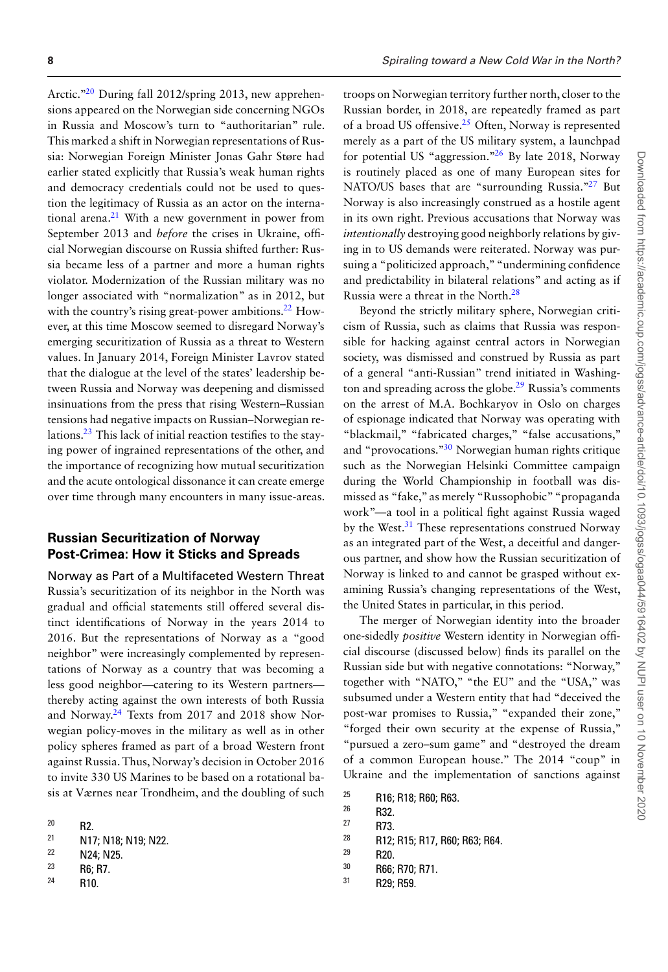Arctic.["20](#page-7-0) During fall 2012/spring 2013, new apprehensions appeared on the Norwegian side concerning NGOs in Russia and Moscow's turn to "authoritarian" rule. This marked a shift in Norwegian representations of Russia: Norwegian Foreign Minister Jonas Gahr Støre had earlier stated explicitly that Russia's weak human rights and democracy credentials could not be used to question the legitimacy of Russia as an actor on the international arena[.21](#page-7-1) With a new government in power from September 2013 and *before* the crises in Ukraine, official Norwegian discourse on Russia shifted further: Russia became less of a partner and more a human rights violator. Modernization of the Russian military was no longer associated with "normalization" as in 2012, but with the country's rising great-power ambitions. $^{22}$  However, at this time Moscow seemed to disregard Norway's emerging securitization of Russia as a threat to Western values. In January 2014, Foreign Minister Lavrov stated that the dialogue at the level of the states' leadership between Russia and Norway was deepening and dismissed insinuations from the press that rising Western–Russian tensions had negative impacts on Russian–Norwegian relations. $23$  This lack of initial reaction testifies to the staying power of ingrained representations of the other, and the importance of recognizing how mutual securitization and the acute ontological dissonance it can create emerge over time through many encounters in many issue-areas.

# **Russian Securitization of Norway Post-Crimea: How it Sticks and Spreads**

Norway as Part of a Multifaceted Western Threat Russia's securitization of its neighbor in the North was gradual and official statements still offered several distinct identifications of Norway in the years 2014 to 2016. But the representations of Norway as a "good neighbor" were increasingly complemented by representations of Norway as a country that was becoming a less good neighbor—catering to its Western partners thereby acting against the own interests of both Russia and Norway.<sup>24</sup> Texts from 2017 and 2018 show Norwegian policy-moves in the military as well as in other policy spheres framed as part of a broad Western front against Russia. Thus, Norway's decision in October 2016 to invite 330 US Marines to be based on a rotational basis at Værnes near Trondheim, and the doubling of such

<span id="page-7-0"></span> $^{20}$  R<sub>2</sub>.

- <span id="page-7-1"></span><sup>21</sup> N17; N18; N19; N22.<br><sup>22</sup> N24: N25
- <span id="page-7-2"></span> $\frac{22}{23}$  N24; N25.
- <span id="page-7-3"></span> $^{23}$  R6; R7.
- <span id="page-7-4"></span>R10.

troops on Norwegian territory further north, closer to the Russian border, in 2018, are repeatedly framed as part of a broad US offensive.<sup>25</sup> Often, Norway is represented merely as a part of the US military system, a launchpad for potential US "aggression.["26](#page-7-6) By late 2018, Norway is routinely placed as one of many European sites for NATO/US bases that are "surrounding Russia."<sup>27</sup> But Norway is also increasingly construed as a hostile agent in its own right. Previous accusations that Norway was *intentionally* destroying good neighborly relations by giving in to US demands were reiterated. Norway was pursuing a "politicized approach," "undermining confidence and predictability in bilateral relations" and acting as if Russia were a threat in the North.<sup>28</sup>

Beyond the strictly military sphere, Norwegian criticism of Russia, such as claims that Russia was responsible for hacking against central actors in Norwegian society, was dismissed and construed by Russia as part of a general "anti-Russian" trend initiated in Washington and spreading across the globe. $29$  Russia's comments on the arrest of M.A. Bochkaryov in Oslo on charges of espionage indicated that Norway was operating with "blackmail," "fabricated charges," "false accusations," and "provocations.["30](#page-7-10) Norwegian human rights critique such as the Norwegian Helsinki Committee campaign during the World Championship in football was dismissed as "fake," as merely "Russophobic" "propaganda work"—a tool in a political fight against Russia waged by the West.<sup>31</sup> These representations construed Norway as an integrated part of the West, a deceitful and dangerous partner, and show how the Russian securitization of Norway is linked to and cannot be grasped without examining Russia's changing representations of the West, the United States in particular, in this period.

The merger of Norwegian identity into the broader one-sidedly *positive* Western identity in Norwegian official discourse (discussed below) finds its parallel on the Russian side but with negative connotations: "Norway," together with "NATO," "the EU" and the "USA," was subsumed under a Western entity that had "deceived the post-war promises to Russia," "expanded their zone," "forged their own security at the expense of Russia," "pursued a zero–sum game" and "destroyed the dream of a common European house." The 2014 "coup" in Ukraine and the implementation of sanctions against

- <span id="page-7-5"></span> $\frac{25}{26}$  R16; R18; R60; R63.
- <span id="page-7-6"></span> $\frac{26}{27}$  R32.
- <span id="page-7-7"></span> $\frac{27}{28}$  R73.
- <span id="page-7-8"></span> $\frac{28}{29}$  R12; R15; R17, R60; R63; R64.
- <span id="page-7-9"></span> $^{29}$  R20.<br><sup>30</sup> R66:
- <span id="page-7-10"></span> $^{30}$  R66; R70; R71.<br> $^{31}$  R20; R50
- <span id="page-7-11"></span>R29; R59.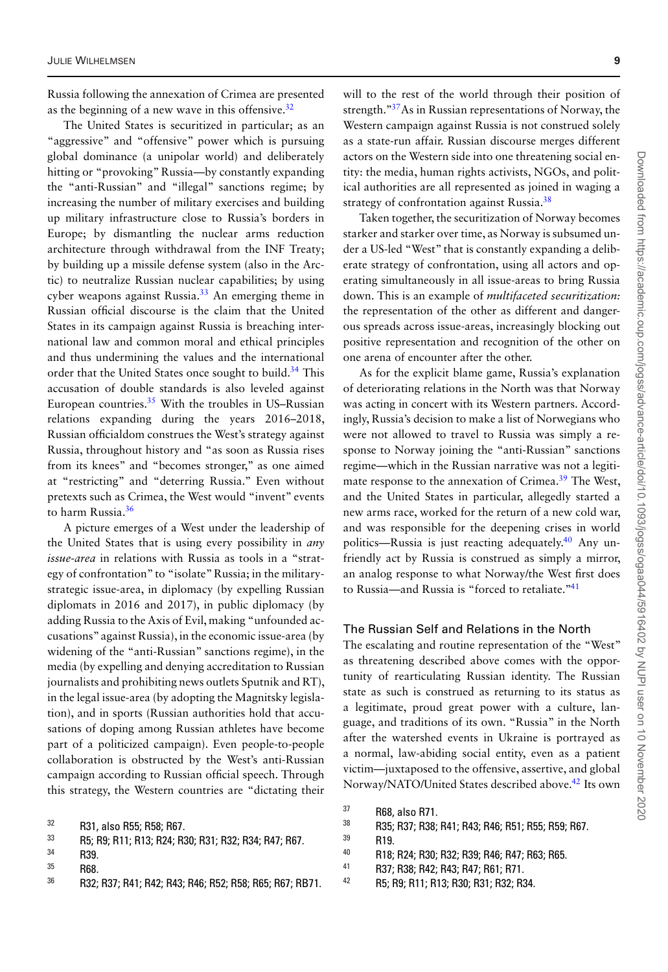Russia following the annexation of Crimea are presented as the beginning of a new wave in this offensive[.32](#page-8-0)

The United States is securitized in particular; as an "aggressive" and "offensive" power which is pursuing global dominance (a unipolar world) and deliberately hitting or "provoking" Russia—by constantly expanding the "anti-Russian" and "illegal" sanctions regime; by increasing the number of military exercises and building up military infrastructure close to Russia's borders in Europe; by dismantling the nuclear arms reduction architecture through withdrawal from the INF Treaty; by building up a missile defense system (also in the Arctic) to neutralize Russian nuclear capabilities; by using cyber weapons against Russia.<sup>33</sup> An emerging theme in Russian official discourse is the claim that the United States in its campaign against Russia is breaching international law and common moral and ethical principles and thus undermining the values and the international order that the United States once sought to build.<sup>34</sup> This accusation of double standards is also leveled against European countries. $35$  With the troubles in US–Russian relations expanding during the years 2016–2018, Russian officialdom construes the West's strategy against Russia, throughout history and "as soon as Russia rises from its knees" and "becomes stronger," as one aimed at "restricting" and "deterring Russia." Even without pretexts such as Crimea, the West would "invent" events to harm Russia.<sup>36</sup>

A picture emerges of a West under the leadership of the United States that is using every possibility in *any issue-area* in relations with Russia as tools in a "strategy of confrontation" to "isolate" Russia; in the militarystrategic issue-area, in diplomacy (by expelling Russian diplomats in 2016 and 2017), in public diplomacy (by adding Russia to the Axis of Evil, making "unfounded accusations" against Russia), in the economic issue-area (by widening of the "anti-Russian" sanctions regime), in the media (by expelling and denying accreditation to Russian journalists and prohibiting news outlets Sputnik and RT), in the legal issue-area (by adopting the Magnitsky legislation), and in sports (Russian authorities hold that accusations of doping among Russian athletes have become part of a politicized campaign). Even people-to-people collaboration is obstructed by the West's anti-Russian campaign according to Russian official speech. Through this strategy, the Western countries are "dictating their

- <span id="page-8-0"></span> $\frac{32}{33}$  R31, also R55; R58; R67.
- <span id="page-8-2"></span><span id="page-8-1"></span> $^{33}$  R5; R9; R11; R13; R24; R30; R31; R32; R34; R47; R67.
- $\frac{34}{35}$  R39.
- <span id="page-8-3"></span> $\frac{35}{36}$  R68.
- <span id="page-8-4"></span><sup>36</sup> R32; R37; R41; R42; R43; R46; R52; R58; R65; R67; RB71.

will to the rest of the world through their position of strength."<sup>37</sup>As in Russian representations of Norway, the Western campaign against Russia is not construed solely as a state-run affair. Russian discourse merges different actors on the Western side into one threatening social entity: the media, human rights activists, NGOs, and political authorities are all represented as joined in waging a strategy of confrontation against Russia.<sup>38</sup>

Taken together, the securitization of Norway becomes starker and starker over time, as Norway is subsumed under a US-led "West" that is constantly expanding a deliberate strategy of confrontation, using all actors and operating simultaneously in all issue-areas to bring Russia down. This is an example of *multifaceted securitization:* the representation of the other as different and dangerous spreads across issue-areas, increasingly blocking out positive representation and recognition of the other on one arena of encounter after the other.

As for the explicit blame game, Russia's explanation of deteriorating relations in the North was that Norway was acting in concert with its Western partners. Accordingly, Russia's decision to make a list of Norwegians who were not allowed to travel to Russia was simply a response to Norway joining the "anti-Russian" sanctions regime—which in the Russian narrative was not a legitimate response to the annexation of Crimea.<sup>39</sup> The West, and the United States in particular, allegedly started a new arms race, worked for the return of a new cold war, and was responsible for the deepening crises in world politics—Russia is just reacting adequatel[y.40](#page-8-8) Any unfriendly act by Russia is construed as simply a mirror, an analog response to what Norway/the West first does to Russia—and Russia is "forced to retaliate."<sup>41</sup>

# The Russian Self and Relations in the North

The escalating and routine representation of the "West" as threatening described above comes with the opportunity of rearticulating Russian identity. The Russian state as such is construed as returning to its status as a legitimate, proud great power with a culture, language, and traditions of its own. "Russia" in the North after the watershed events in Ukraine is portrayed as a normal, law-abiding social entity, even as a patient victim—juxtaposed to the offensive, assertive, and global Norway/NATO/United States described above[.42](#page-8-10) Its own

- <span id="page-8-5"></span> $\frac{37}{38}$  R68, also R71.
- <span id="page-8-7"></span><span id="page-8-6"></span><sup>38</sup> R35; R37; R38; R41; R43; R46; R51; R55; R59; R67.
- $\frac{39}{40}$  R19.
- <span id="page-8-8"></span> $^{40}$  R18; R24; R30; R32; R39; R46; R47; R63; R65.<br> $^{41}$  R37; R38; R43; R43; R47; R61; R71
- <span id="page-8-10"></span><span id="page-8-9"></span> $^{41}$  R37; R38; R42; R43; R47; R61; R71.<br> $^{42}$  R5: R9: R11: R13: R30: R31: R32: R3
	- <sup>42</sup> R5; R9; R11; R13; R30; R31; R32; R34.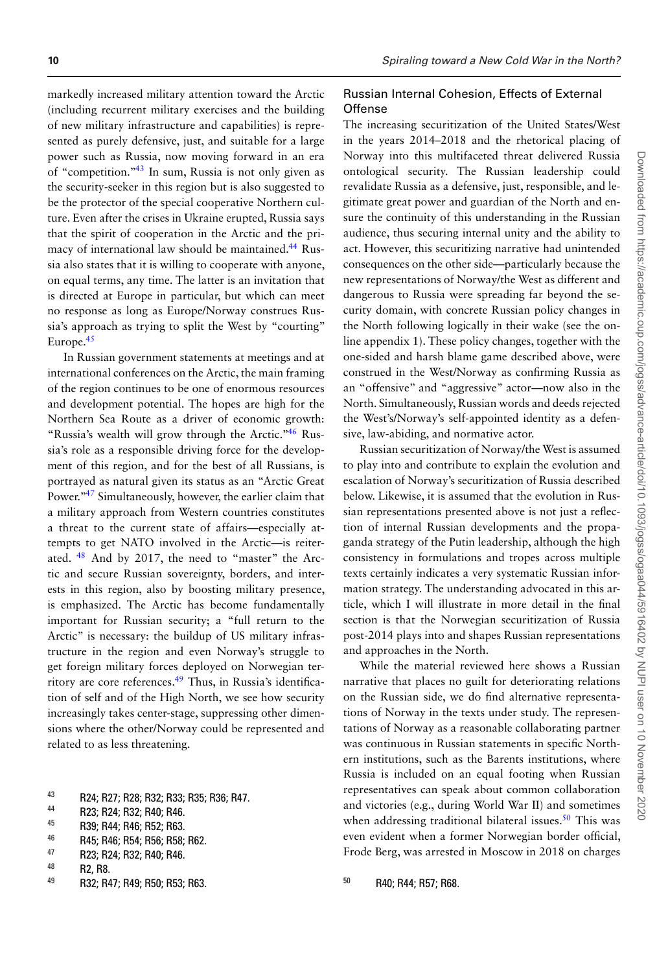markedly increased military attention toward the Arctic (including recurrent military exercises and the building of new military infrastructure and capabilities) is represented as purely defensive, just, and suitable for a large power such as Russia, now moving forward in an era of "competition.["43](#page-9-0) In sum, Russia is not only given as the security-seeker in this region but is also suggested to be the protector of the special cooperative Northern culture. Even after the crises in Ukraine erupted, Russia says that the spirit of cooperation in the Arctic and the primacy of international law should be maintained.<sup>44</sup> Russia also states that it is willing to cooperate with anyone, on equal terms, any time. The latter is an invitation that is directed at Europe in particular, but which can meet no response as long as Europe/Norway construes Russia's approach as trying to split the West by "courting" Europe[.45](#page-9-2)

In Russian government statements at meetings and at international conferences on the Arctic, the main framing of the region continues to be one of enormous resources and development potential. The hopes are high for the Northern Sea Route as a driver of economic growth: "Russia's wealth will grow through the Arctic.["46](#page-9-3) Russia's role as a responsible driving force for the development of this region, and for the best of all Russians, is portrayed as natural given its status as an "Arctic Great Power.["47](#page-9-4) Simultaneously, however, the earlier claim that a military approach from Western countries constitutes a threat to the current state of affairs—especially attempts to get NATO involved in the Arctic—is reiterated. [48](#page-9-5) And by 2017, the need to "master" the Arctic and secure Russian sovereignty, borders, and interests in this region, also by boosting military presence, is emphasized. The Arctic has become fundamentally important for Russian security; a "full return to the Arctic" is necessary: the buildup of US military infrastructure in the region and even Norway's struggle to get foreign military forces deployed on Norwegian territory are core references[.49](#page-9-6) Thus, in Russia's identification of self and of the High North, we see how security increasingly takes center-stage, suppressing other dimensions where the other/Norway could be represented and related to as less threatening.

- <span id="page-9-0"></span>43 R24; R27; R28; R32; R33; R35; R36; R47.
- <span id="page-9-1"></span> $^{44}$  R23; R24; R32; R40; R46.
- <span id="page-9-2"></span> $^{45}$  R39; R44; R46; R52; R63.
- <span id="page-9-3"></span> $^{46}$  R45; R46; R54; R56; R58; R62.
- <span id="page-9-4"></span> $^{47}$  R23; R24; R32; R40; R46.
- <span id="page-9-5"></span> $^{48}$  R<sub>2</sub>, R<sub>8</sub>.<br> $^{49}$  R<sub>22</sub>, R<sub>4</sub>
- <span id="page-9-6"></span><sup>49</sup> R32; R47; R49; R50; R53; R63.

# Russian Internal Cohesion, Effects of External **Offense**

The increasing securitization of the United States/West in the years 2014–2018 and the rhetorical placing of Norway into this multifaceted threat delivered Russia ontological security. The Russian leadership could revalidate Russia as a defensive, just, responsible, and legitimate great power and guardian of the North and ensure the continuity of this understanding in the Russian audience, thus securing internal unity and the ability to act. However, this securitizing narrative had unintended consequences on the other side—particularly because the new representations of Norway/the West as different and dangerous to Russia were spreading far beyond the security domain, with concrete Russian policy changes in the North following logically in their wake (see the online appendix 1). These policy changes, together with the one-sided and harsh blame game described above, were construed in the West/Norway as confirming Russia as an "offensive" and "aggressive" actor—now also in the North. Simultaneously, Russian words and deeds rejected the West's/Norway's self-appointed identity as a defensive, law-abiding, and normative actor.

Russian securitization of Norway/the West is assumed to play into and contribute to explain the evolution and escalation of Norway's securitization of Russia described below. Likewise, it is assumed that the evolution in Russian representations presented above is not just a reflection of internal Russian developments and the propaganda strategy of the Putin leadership, although the high consistency in formulations and tropes across multiple texts certainly indicates a very systematic Russian information strategy. The understanding advocated in this article, which I will illustrate in more detail in the final section is that the Norwegian securitization of Russia post-2014 plays into and shapes Russian representations and approaches in the North.

While the material reviewed here shows a Russian narrative that places no guilt for deteriorating relations on the Russian side, we do find alternative representations of Norway in the texts under study. The representations of Norway as a reasonable collaborating partner was continuous in Russian statements in specific Northern institutions, such as the Barents institutions, where Russia is included on an equal footing when Russian representatives can speak about common collaboration and victories (e.g., during World War II) and sometimes when addressing traditional bilateral issues. $50$  This was even evident when a former Norwegian border official, Frode Berg, was arrested in Moscow in 2018 on charges

<span id="page-9-7"></span><sup>50</sup> R40; R44; R57; R68.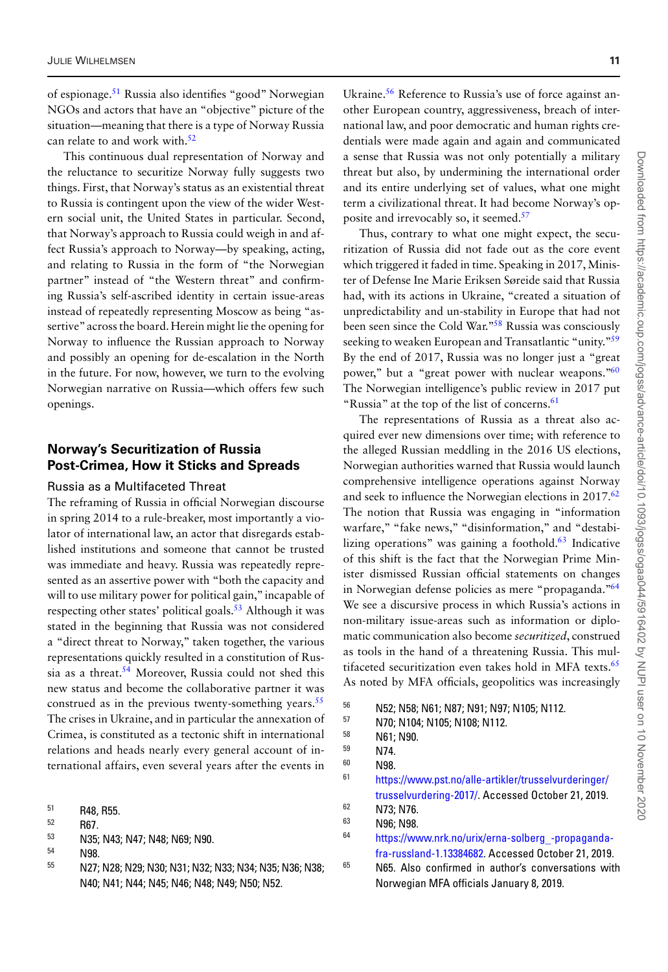of espionage.<sup>51</sup> Russia also identifies "good" Norwegian NGOs and actors that have an "objective" picture of the situation—meaning that there is a type of Norway Russia can relate to and work with.<sup>52</sup>

This continuous dual representation of Norway and the reluctance to securitize Norway fully suggests two things. First, that Norway's status as an existential threat to Russia is contingent upon the view of the wider Western social unit, the United States in particular. Second, that Norway's approach to Russia could weigh in and affect Russia's approach to Norway—by speaking, acting, and relating to Russia in the form of "the Norwegian partner" instead of "the Western threat" and confirming Russia's self-ascribed identity in certain issue-areas instead of repeatedly representing Moscow as being "assertive" across the board. Herein might lie the opening for Norway to influence the Russian approach to Norway and possibly an opening for de-escalation in the North in the future. For now, however, we turn to the evolving Norwegian narrative on Russia—which offers few such openings.

# **Norway's Securitization of Russia Post-Crimea, How it Sticks and Spreads**

Russia as a Multifaceted Threat

The reframing of Russia in official Norwegian discourse in spring 2014 to a rule-breaker, most importantly a violator of international law, an actor that disregards established institutions and someone that cannot be trusted was immediate and heavy. Russia was repeatedly represented as an assertive power with "both the capacity and will to use military power for political gain," incapable of respecting other states' political goals.<sup>53</sup> Although it was stated in the beginning that Russia was not considered a "direct threat to Norway," taken together, the various representations quickly resulted in a constitution of Russia as a threat.<sup>54</sup> Moreover, Russia could not shed this new status and become the collaborative partner it was construed as in the previous twenty-something years.<sup>55</sup> The crises in Ukraine, and in particular the annexation of Crimea, is constituted as a tectonic shift in international relations and heads nearly every general account of international affairs, even several years after the events in

- <span id="page-10-1"></span> $^{52}$  R67.
- <span id="page-10-2"></span> $^{53}$  N35; N43; N47; N48; N69; N90.
- <span id="page-10-3"></span> $^{54}$  N98.<br> $^{55}$  N.2.
- <span id="page-10-4"></span><sup>55</sup> N27; N28; N29; N30; N31; N32; N33; N34; N35; N36; N38; N40; N41; N44; N45; N46; N48; N49; N50; N52.

Ukraine.<sup>56</sup> Reference to Russia's use of force against another European country, aggressiveness, breach of international law, and poor democratic and human rights credentials were made again and again and communicated a sense that Russia was not only potentially a military threat but also, by undermining the international order and its entire underlying set of values, what one might term a civilizational threat. It had become Norway's opposite and irrevocably so, it seemed.<sup>57</sup>

Thus, contrary to what one might expect, the securitization of Russia did not fade out as the core event which triggered it faded in time. Speaking in 2017, Minister of Defense Ine Marie Eriksen Søreide said that Russia had, with its actions in Ukraine, "created a situation of unpredictability and un-stability in Europe that had not been seen since the Cold War.["58](#page-10-7) Russia was consciously seeking to weaken European and Transatlantic "unity."<sup>59</sup> By the end of 2017, Russia was no longer just a "great power," but a "great power with nuclear weapons."<sup>60</sup> The Norwegian intelligence's public review in 2017 put "Russia" at the top of the list of concerns.<sup>61</sup>

The representations of Russia as a threat also acquired ever new dimensions over time; with reference to the alleged Russian meddling in the 2016 US elections, Norwegian authorities warned that Russia would launch comprehensive intelligence operations against Norway and seek to influence the Norwegian elections in 2017[.62](#page-10-11) The notion that Russia was engaging in "information warfare," "fake news," "disinformation," and "destabilizing operations" was gaining a foothold. $63$  Indicative of this shift is the fact that the Norwegian Prime Minister dismissed Russian official statements on changes in Norwegian defense policies as mere "propaganda.["64](#page-10-13) We see a discursive process in which Russia's actions in non-military issue-areas such as information or diplomatic communication also become *securitized*, construed as tools in the hand of a threatening Russia. This multifaceted securitization even takes hold in MFA texts.<sup>65</sup> As noted by MFA officials, geopolitics was increasingly

<span id="page-10-10"></span><span id="page-10-9"></span><span id="page-10-8"></span><span id="page-10-7"></span><span id="page-10-6"></span><span id="page-10-5"></span>

| 56 | N52; N58; N61; N87; N91; N97; N105; N112.            |  |
|----|------------------------------------------------------|--|
| 57 | N70; N104; N105; N108; N112.                         |  |
| 58 | N61; N90.                                            |  |
| 59 | N74.                                                 |  |
| 60 | N98.                                                 |  |
| 61 | https://www.pst.no/alle-artikler/trusselvurderinger/ |  |
|    | trusselvurdering-2017/. Accessed October 21, 2019.   |  |
| 62 | N73; N76.                                            |  |
| 63 | N96: N98.                                            |  |
| 64 | https://www.nrk.no/urix/erna-solberg -propaganda-    |  |
|    | fra-russland-1.13384682. Accessed October 21, 2019.  |  |
| 65 | N65. Also confirmed in author's conversations with   |  |
|    |                                                      |  |

<span id="page-10-14"></span><span id="page-10-13"></span><span id="page-10-12"></span><span id="page-10-11"></span>Norwegian MFA officials January 8, 2019.

<span id="page-10-0"></span> $^{51}$  R48, R55.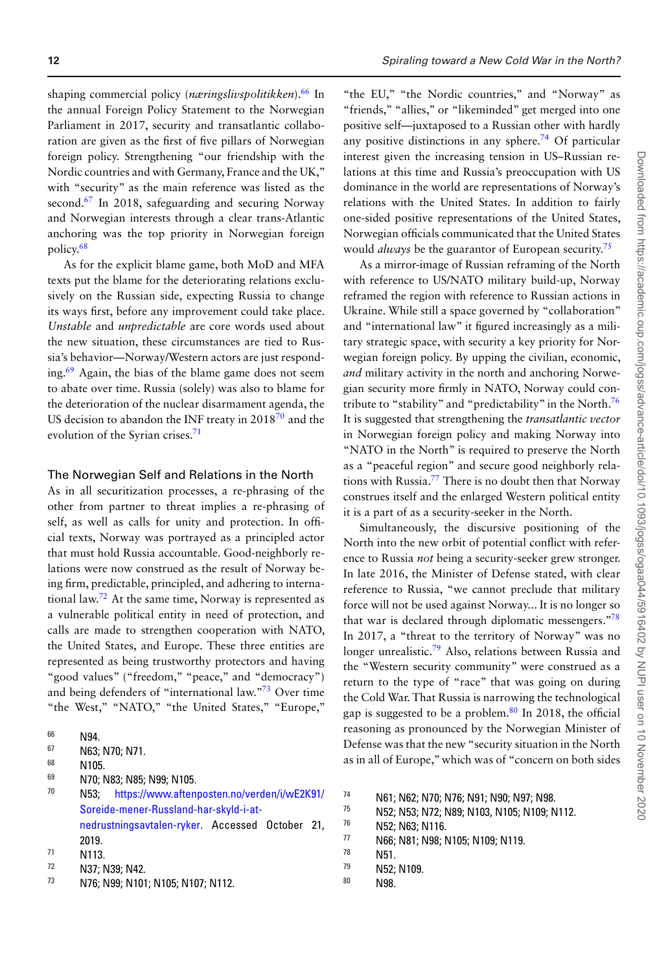shaping commercial policy (*næringslivspolitikken*).<sup>66</sup> In the annual Foreign Policy Statement to the Norwegian Parliament in 2017, security and transatlantic collaboration are given as the first of five pillars of Norwegian foreign policy. Strengthening "our friendship with the Nordic countries and with Germany, France and the UK," with "security" as the main reference was listed as the second.<sup>67</sup> In 2018, safeguarding and securing Norway and Norwegian interests through a clear trans-Atlantic anchoring was the top priority in Norwegian foreign policy[.68](#page-11-2)

As for the explicit blame game, both MoD and MFA texts put the blame for the deteriorating relations exclusively on the Russian side, expecting Russia to change its ways first, before any improvement could take place. *Unstable* and *unpredictable* are core words used about the new situation, these circumstances are tied to Russia's behavior—Norway/Western actors are just responding[.69](#page-11-3) Again, the bias of the blame game does not seem to abate over time. Russia (solely) was also to blame for the deterioration of the nuclear disarmament agenda, the US decision to abandon the INF treaty in 201[870](#page-11-4) and the evolution of the Syrian crises.<sup>71</sup>

#### The Norwegian Self and Relations in the North

As in all securitization processes, a re-phrasing of the other from partner to threat implies a re-phrasing of self, as well as calls for unity and protection. In official texts, Norway was portrayed as a principled actor that must hold Russia accountable. Good-neighborly relations were now construed as the result of Norway being firm, predictable, principled, and adhering to international law.<sup>72</sup> At the same time, Norway is represented as a vulnerable political entity in need of protection, and calls are made to strengthen cooperation with NATO, the United States, and Europe. These three entities are represented as being trustworthy protectors and having "good values" ("freedom," "peace," and "democracy") and being defenders of "international law.["73](#page-11-7) Over time "the West," "NATO," "the United States," "Europe,"

- <span id="page-11-3"></span> $^{69}$  N70; N83; N85; N99; N105.
- <span id="page-11-4"></span><sup>70</sup> N53; https://www.aftenposten.no/verden/i/wE2K91/ Soreide-mener-Russland-har-skyld-i-at[nedrustningsavtalen-ryker. Accessed October 21,](https://www.aftenposten.no/verden/i/wE2K91/Soreide-mener-Russland-har-skyld-i-at-nedrustningsavtalen-ryker) 2019.  $\frac{71}{72}$  N113.
- <span id="page-11-6"></span><span id="page-11-5"></span> $\frac{72}{73}$  N37; N39; N42.
- <span id="page-11-7"></span><sup>73</sup> N76; N99; N101; N105; N107; N112.

"the EU," "the Nordic countries," and "Norway" as "friends," "allies," or "likeminded" get merged into one positive self—juxtaposed to a Russian other with hardly any positive distinctions in any sphere.<sup>74</sup> Of particular interest given the increasing tension in US–Russian relations at this time and Russia's preoccupation with US dominance in the world are representations of Norway's relations with the United States. In addition to fairly one-sided positive representations of the United States, Norwegian officials communicated that the United States would *always* be the guarantor of European security[.75](#page-11-9)

As a mirror-image of Russian reframing of the North with reference to US/NATO military build-up, Norway reframed the region with reference to Russian actions in Ukraine. While still a space governed by "collaboration" and "international law" it figured increasingly as a military strategic space, with security a key priority for Norwegian foreign policy. By upping the civilian, economic, *and* military activity in the north and anchoring Norwegian security more firmly in NATO, Norway could contribute to "stability" and "predictability" in the North[.76](#page-11-10) It is suggested that strengthening the *transatlantic vector* in Norwegian foreign policy and making Norway into "NATO in the North" is required to preserve the North as a "peaceful region" and secure good neighborly relations with Russia[.77](#page-11-11) There is no doubt then that Norway construes itself and the enlarged Western political entity it is a part of as a security-seeker in the North.

Simultaneously, the discursive positioning of the North into the new orbit of potential conflict with reference to Russia *not* being a security-seeker grew stronger. In late 2016, the Minister of Defense stated, with clear reference to Russia, "we cannot preclude that military force will not be used against Norway... It is no longer so that war is declared through diplomatic messengers.["78](#page-11-12) In 2017, a "threat to the territory of Norway" was no longer unrealistic.<sup>79</sup> Also, relations between Russia and the "Western security community" were construed as a return to the type of "race" that was going on during the Cold War. That Russia is narrowing the technological gap is suggested to be a problem. $80$  In 2018, the official reasoning as pronounced by the Norwegian Minister of Defense was that the new "security situation in the North as in all of Europe," which was of "concern on both sides

<span id="page-11-14"></span><span id="page-11-13"></span><span id="page-11-12"></span><span id="page-11-11"></span><span id="page-11-10"></span><span id="page-11-9"></span><span id="page-11-8"></span>

| 74 | N61: N62: N70: N76: N91: N90: N97: N98.     |
|----|---------------------------------------------|
| 75 | N52; N53; N72; N89; N103, N105; N109; N112. |
| 76 | N52: N63: N116.                             |
| 77 | N66; N81; N98; N105; N109; N119.            |
| 78 | N51.                                        |
| 79 | N52: N109.                                  |
| 80 | N98.                                        |

<span id="page-11-0"></span> $\frac{66}{67}$  N94.

<span id="page-11-1"></span> $^{67}$  N63; N70; N71.

<span id="page-11-2"></span> $\frac{68}{69}$  N105.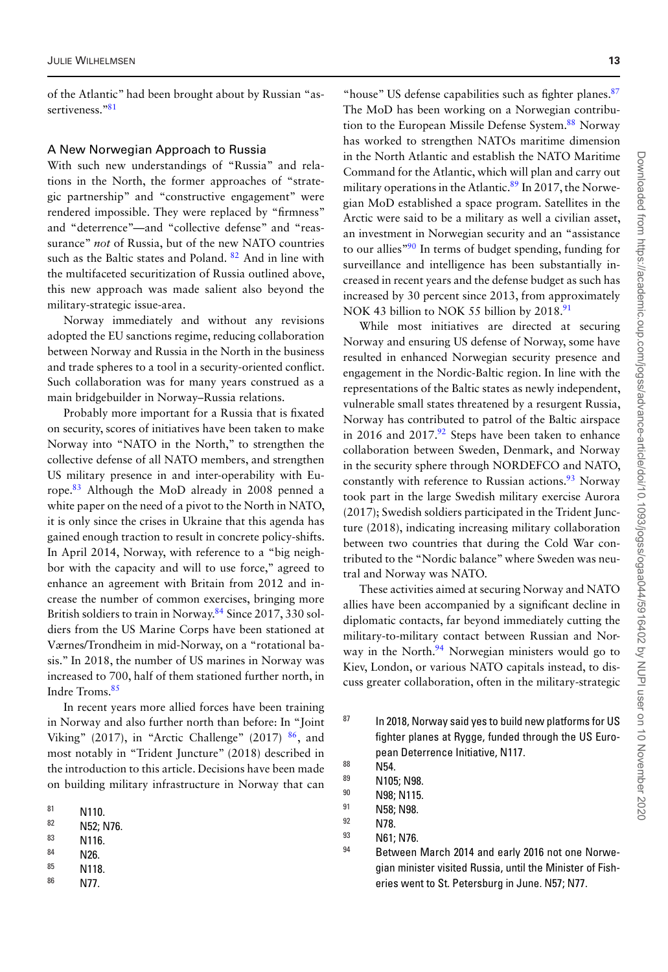of the Atlantic" had been brought about by Russian "assertiveness."<sup>81</sup>

#### A New Norwegian Approach to Russia

With such new understandings of "Russia" and relations in the North, the former approaches of "strategic partnership" and "constructive engagement" were rendered impossible. They were replaced by "firmness" and "deterrence"—and "collective defense" and "reassurance" *not* of Russia, but of the new NATO countries such as the Baltic states and Poland. <sup>[82](#page-12-1)</sup> And in line with the multifaceted securitization of Russia outlined above, this new approach was made salient also beyond the military-strategic issue-area.

Norway immediately and without any revisions adopted the EU sanctions regime, reducing collaboration between Norway and Russia in the North in the business and trade spheres to a tool in a security-oriented conflict. Such collaboration was for many years construed as a main bridgebuilder in Norway–Russia relations.

Probably more important for a Russia that is fixated on security, scores of initiatives have been taken to make Norway into "NATO in the North," to strengthen the collective defense of all NATO members, and strengthen US military presence in and inter-operability with Europe[.83](#page-12-2) Although the MoD already in 2008 penned a white paper on the need of a pivot to the North in NATO, it is only since the crises in Ukraine that this agenda has gained enough traction to result in concrete policy-shifts. In April 2014, Norway, with reference to a "big neighbor with the capacity and will to use force," agreed to enhance an agreement with Britain from 2012 and increase the number of common exercises, bringing more British soldiers to train in Norway[.84](#page-12-3) Since 2017, 330 soldiers from the US Marine Corps have been stationed at Værnes/Trondheim in mid-Norway, on a "rotational basis." In 2018, the number of US marines in Norway was increased to 700, half of them stationed further north, in Indre Troms.<sup>85</sup>

In recent years more allied forces have been training in Norway and also further north than before: In "Joint Viking" (2017), in "Arctic Challenge" (2017)  $86$ , and most notably in "Trident Juncture" (2018) described in the introduction to this article. Decisions have been made on building military infrastructure in Norway that can

- <span id="page-12-1"></span> $\frac{82}{83}$  N52; N76.
- <span id="page-12-2"></span> $\frac{83}{84}$  N116.
- <span id="page-12-3"></span> $\frac{84}{85}$  N26.
- <span id="page-12-4"></span> $\frac{85}{86}$  N118.
- <span id="page-12-5"></span>N77.

"house" US defense capabilities such as fighter planes.<sup>87</sup> The MoD has been working on a Norwegian contribution to the European Missile Defense System.<sup>88</sup> Norway has worked to strengthen NATOs maritime dimension in the North Atlantic and establish the NATO Maritime Command for the Atlantic, which will plan and carry out military operations in the Atlantic.<sup>89</sup> In 2017, the Norwegian MoD established a space program. Satellites in the Arctic were said to be a military as well a civilian asset, an investment in Norwegian security and an "assistance to our allies["90](#page-12-9) In terms of budget spending, funding for surveillance and intelligence has been substantially increased in recent years and the defense budget as such has increased by 30 percent since 2013, from approximately NOK 43 billion to NOK 55 billion by  $2018<sup>91</sup>$ 

While most initiatives are directed at securing Norway and ensuring US defense of Norway, some have resulted in enhanced Norwegian security presence and engagement in the Nordic-Baltic region. In line with the representations of the Baltic states as newly independent, vulnerable small states threatened by a resurgent Russia, Norway has contributed to patrol of the Baltic airspace in 2016 and  $2017<sup>92</sup>$  Steps have been taken to enhance collaboration between Sweden, Denmark, and Norway in the security sphere through NORDEFCO and NATO, constantly with reference to Russian actions.<sup>93</sup> Norway took part in the large Swedish military exercise Aurora (2017); Swedish soldiers participated in the Trident Juncture (2018), indicating increasing military collaboration between two countries that during the Cold War contributed to the "Nordic balance" where Sweden was neutral and Norway was NATO.

These activities aimed at securing Norway and NATO allies have been accompanied by a significant decline in diplomatic contacts, far beyond immediately cutting the military-to-military contact between Russian and Norway in the North.<sup>94</sup> Norwegian ministers would go to Kiev, London, or various NATO capitals instead, to discuss greater collaboration, often in the military-strategic

- <span id="page-12-6"></span>87 In 2018, Norway said yes to build new platforms for US fighter planes at Rygge, funded through the US European Deterrence Initiative, N117.
- <span id="page-12-7"></span> $\frac{88}{89}$  N54.
- <span id="page-12-8"></span> $^{89}$  N105; N98.

<span id="page-12-11"></span><span id="page-12-10"></span>N58; N98.

- <span id="page-12-12"></span> $^{93}$  N61; N76.
- <span id="page-12-13"></span>Between March 2014 and early 2016 not one Norwegian minister visited Russia, until the Minister of Fisheries went to St. Petersburg in June. N57; N77.

<span id="page-12-0"></span> $\frac{81}{82}$  N110.

<span id="page-12-9"></span> $^{90}$  N98; N115.

 $\frac{92}{93}$  N78.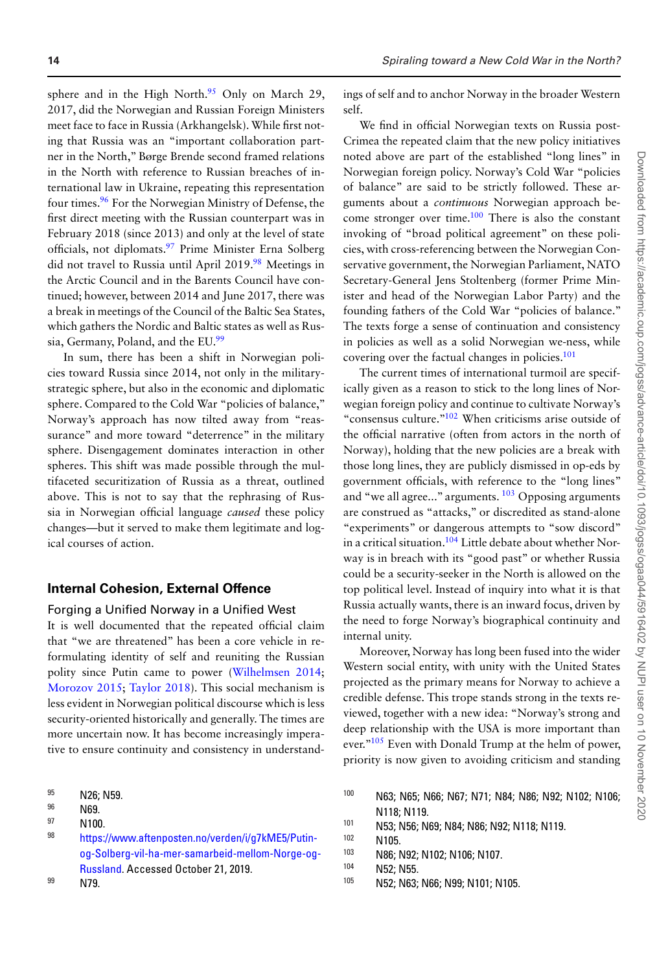sphere and in the High North. $95$  Only on March 29, 2017, did the Norwegian and Russian Foreign Ministers meet face to face in Russia (Arkhangelsk). While first noting that Russia was an "important collaboration partner in the North," Børge Brende second framed relations in the North with reference to Russian breaches of international law in Ukraine, repeating this representation four times[.96](#page-13-1) For the Norwegian Ministry of Defense, the first direct meeting with the Russian counterpart was in February 2018 (since 2013) and only at the level of state officials, not diplomats[.97](#page-13-2) Prime Minister Erna Solberg did not travel to Russia until April 2019.<sup>98</sup> Meetings in the Arctic Council and in the Barents Council have continued; however, between 2014 and June 2017, there was a break in meetings of the Council of the Baltic Sea States, which gathers the Nordic and Baltic states as well as Russia, Germany, Poland, and the EU.<sup>99</sup>

In sum, there has been a shift in Norwegian policies toward Russia since 2014, not only in the militarystrategic sphere, but also in the economic and diplomatic sphere. Compared to the Cold War "policies of balance," Norway's approach has now tilted away from "reassurance" and more toward "deterrence" in the military sphere. Disengagement dominates interaction in other spheres. This shift was made possible through the multifaceted securitization of Russia as a threat, outlined above. This is not to say that the rephrasing of Russia in Norwegian official language *caused* these policy changes—but it served to make them legitimate and logical courses of action.

# **Internal Cohesion, External Offence**

#### Forging a Unified Norway in a Unified West

It is well documented that the repeated official claim that "we are threatened" has been a core vehicle in reformulating identity of self and reuniting the Russian polity since Putin came to power [\(Wilhelmsen 2014;](#page-18-35) [Morozov 2015;](#page-18-40) [Taylor 2018\)](#page-18-1). This social mechanism is less evident in Norwegian political discourse which is less security-oriented historically and generally. The times are more uncertain now. It has become increasingly imperative to ensure continuity and consistency in understand-

- <span id="page-13-1"></span>N69.
- <span id="page-13-2"></span> $\frac{97}{98}$  N100.
- <span id="page-13-3"></span>https://www.aftenposten.no/verden/i/g7kME5/Putin[og-Solberg-vil-ha-mer-samarbeid-mellom-Norge-og-](https://www.aftenposten.no/verden/i/g7kME5/Putin-og-Solberg-vil-ha-mer-samarbeid-mellom-Norge-og-Russland)Russland. Accessed October 21, 2019.

<span id="page-13-4"></span><sup>99</sup> N79.

ings of self and to anchor Norway in the broader Western self.

We find in official Norwegian texts on Russia post-Crimea the repeated claim that the new policy initiatives noted above are part of the established "long lines" in Norwegian foreign policy. Norway's Cold War "policies of balance" are said to be strictly followed. These arguments about a *continuous* Norwegian approach become stronger over time. $100$  There is also the constant invoking of "broad political agreement" on these policies, with cross-referencing between the Norwegian Conservative government, the Norwegian Parliament, NATO Secretary-General Jens Stoltenberg (former Prime Minister and head of the Norwegian Labor Party) and the founding fathers of the Cold War "policies of balance." The texts forge a sense of continuation and consistency in policies as well as a solid Norwegian we-ness, while covering over the factual changes in policies.<sup>101</sup>

The current times of international turmoil are specifically given as a reason to stick to the long lines of Norwegian foreign policy and continue to cultivate Norway's "consensus culture.["102](#page-13-7) When criticisms arise outside of the official narrative (often from actors in the north of Norway), holding that the new policies are a break with those long lines, they are publicly dismissed in op-eds by government officials, with reference to the "long lines" and "we all agree..." arguments.  $103$  Opposing arguments are construed as "attacks," or discredited as stand-alone "experiments" or dangerous attempts to "sow discord" in a critical situation.<sup>104</sup> Little debate about whether Norway is in breach with its "good past" or whether Russia could be a security-seeker in the North is allowed on the top political level. Instead of inquiry into what it is that Russia actually wants, there is an inward focus, driven by the need to forge Norway's biographical continuity and internal unity.

Moreover, Norway has long been fused into the wider Western social entity, with unity with the United States projected as the primary means for Norway to achieve a credible defense. This trope stands strong in the texts reviewed, together with a new idea: "Norway's strong and deep relationship with the USA is more important than ever."<sup>105</sup> Even with Donald Trump at the helm of power, priority is now given to avoiding criticism and standing

- <span id="page-13-5"></span><sup>100</sup> N63; N65; N66; N67; N71; N84; N86; N92; N102; N106; N118; N119.
- <span id="page-13-6"></span><sup>101</sup> N53; N56; N69; N84; N86; N92; N118; N119.
- <span id="page-13-7"></span> $\frac{102}{103}$  N105.
- <span id="page-13-8"></span> $\frac{103}{104}$  N86; N92; N102; N106; N107.
- <span id="page-13-9"></span> $^{104}$  N52; N55.
- <span id="page-13-10"></span><sup>105</sup> N52; N63; N66; N99; N101; N105.

<span id="page-13-0"></span> $^{95}$  N26; N59.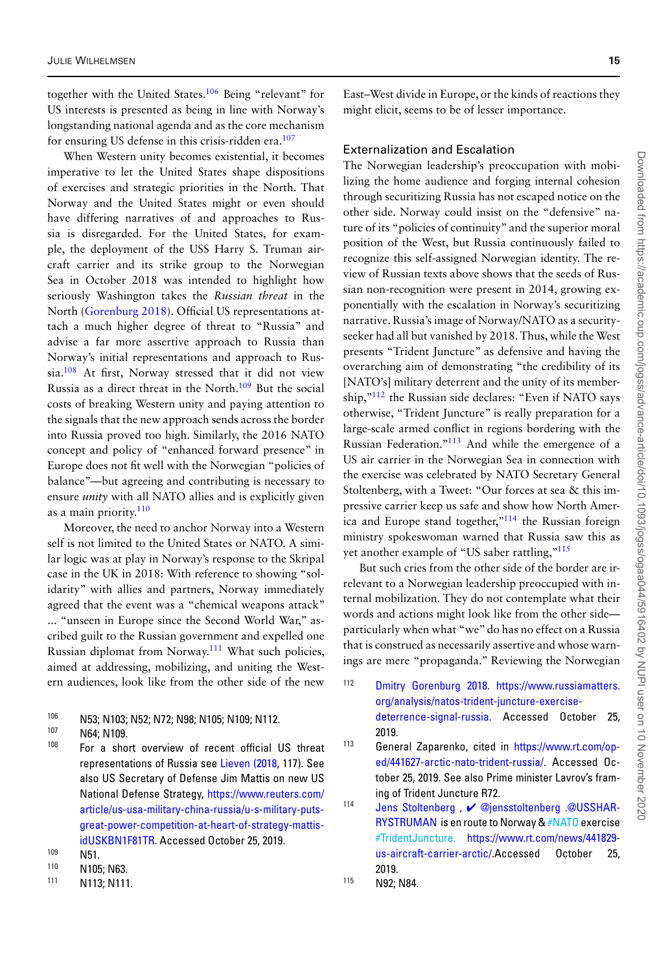together with the United States[.106](#page-14-0) Being "relevant" for US interests is presented as being in line with Norway's longstanding national agenda and as the core mechanism for ensuring US defense in this crisis-ridden era.<sup>107</sup>

When Western unity becomes existential, it becomes imperative to let the United States shape dispositions of exercises and strategic priorities in the North. That Norway and the United States might or even should have differing narratives of and approaches to Russia is disregarded. For the United States, for example, the deployment of the USS Harry S. Truman aircraft carrier and its strike group to the Norwegian Sea in October 2018 was intended to highlight how seriously Washington takes the *Russian threat* in the North [\(Gorenburg 2018\)](#page-17-26). Official US representations attach a much higher degree of threat to "Russia" and advise a far more assertive approach to Russia than Norway's initial representations and approach to Russia[.108](#page-14-2) At first, Norway stressed that it did not view Russia as a direct threat in the North[.109](#page-14-3) But the social costs of breaking Western unity and paying attention to the signals that the new approach sends across the border into Russia proved too high. Similarly, the 2016 NATO concept and policy of "enhanced forward presence" in Europe does not fit well with the Norwegian "policies of balance"—but agreeing and contributing is necessary to ensure *unity* with all NATO allies and is explicitly given as a main priority.<sup>110</sup>

Moreover, the need to anchor Norway into a Western self is not limited to the United States or NATO. A similar logic was at play in Norway's response to the Skripal case in the UK in 2018: With reference to showing "solidarity" with allies and partners, Norway immediately agreed that the event was a "chemical weapons attack" ... "unseen in Europe since the Second World War," ascribed guilt to the Russian government and expelled one Russian diplomat from Norway.<sup>111</sup> What such policies, aimed at addressing, mobilizing, and uniting the Western audiences, look like from the other side of the new

- <span id="page-14-0"></span>106 N53; N103; N52; N72; N98; N105; N109; N112.
- <span id="page-14-1"></span> $^{107}$  N64; N109.
- <span id="page-14-2"></span>For a short overview of recent official US threat representations of Russia see [Lieven \(2018,](#page-18-10) 117). See also US Secretary of Defense Jim Mattis on new US National Defense Strategy, https://www.reuters.com/ article/us-usa-military-china-russia/u-s-military-puts[great-power-competition-at-heart-of-strategy-mattis](https://www.reuters.com/article/us-usa-military-china-russia/u-s-military-puts-great-power-competition-at-heart-of-strategy-mattis-idUSKBN1F81TR)idUSKBN1F81TR. Accessed October 25, 2019.

East–West divide in Europe, or the kinds of reactions they might elicit, seems to be of lesser importance.

# Externalization and Escalation

The Norwegian leadership's preoccupation with mobilizing the home audience and forging internal cohesion through securitizing Russia has not escaped notice on the other side. Norway could insist on the "defensive" nature of its "policies of continuity" and the superior moral position of the West, but Russia continuously failed to recognize this self-assigned Norwegian identity. The review of Russian texts above shows that the seeds of Russian non-recognition were present in 2014, growing exponentially with the escalation in Norway's securitizing narrative. Russia's image of Norway/NATO as a securityseeker had all but vanished by 2018. Thus, while the West presents "Trident Juncture" as defensive and having the overarching aim of demonstrating "the credibility of its [NATO's] military deterrent and the unity of its membership,"<sup>112</sup> the Russian side declares: "Even if NATO says otherwise, "Trident Juncture" is really preparation for a large-scale armed conflict in regions bordering with the Russian Federation.["113](#page-14-7) And while the emergence of a US air carrier in the Norwegian Sea in connection with the exercise was celebrated by NATO Secretary General Stoltenberg, with a Tweet: "Our forces at sea & this impressive carrier keep us safe and show how North America and Europe stand together,"<sup>114</sup> the Russian foreign ministry spokeswoman warned that Russia saw this as yet another example of "US saber rattling,"<sup>115</sup>

But such cries from the other side of the border are irrelevant to a Norwegian leadership preoccupied with internal mobilization. They do not contemplate what their words and actions might look like from the other side particularly when what "we" do has no effect on a Russia that is construed as necessarily assertive and whose warnings are mere "propaganda." Reviewing the Norwegian

- <span id="page-14-6"></span><sup>112</sup> [Dmitry Gorenburg 2018.](#page-17-26) https://www.russiamatters. org/analysis/natos-trident-juncture-exercise[deterrence-signal-russia. Accessed October 25,](https://www.russiamatters.org/analysis/natos-trident-juncture-exercise-deterrence-signal-russia) 2019.
- <span id="page-14-7"></span><sup>113</sup> General Zaparenko, cited in https://www.rt.com/op[ed/441627-arctic-nato-trident-russia/. Accessed Oc](https://www.rt.com/op-ed/441627-arctic-nato-trident-russia/)tober 25, 2019. See also Prime minister Lavrov's framing of Trident Juncture R72.

<span id="page-14-8"></span>114 Jens Stoltenberg , v [@jensstoltenberg .@USSHAR-](Jens Stoltenberg , 7 @jensstoltenberg .@USSHARRYSTRUMAN)RYSTRUMAN is en route to Norway & [#NATO](#page-0-1) exercise [#TridentJuncture.](#page-0-1) https://www.rt.com/news/441829 [us-aircraft-carrier-arctic/.Accessed October 25,](https://www.rt.com/news/441829-us-aircraft-carrier-arctic/) 2019.

<span id="page-14-9"></span><sup>115</sup> N92; N84.

<span id="page-14-3"></span> $\frac{109}{110}$  N51.

<span id="page-14-4"></span> $^{110}$  N105; N63.

<span id="page-14-5"></span>N113; N111.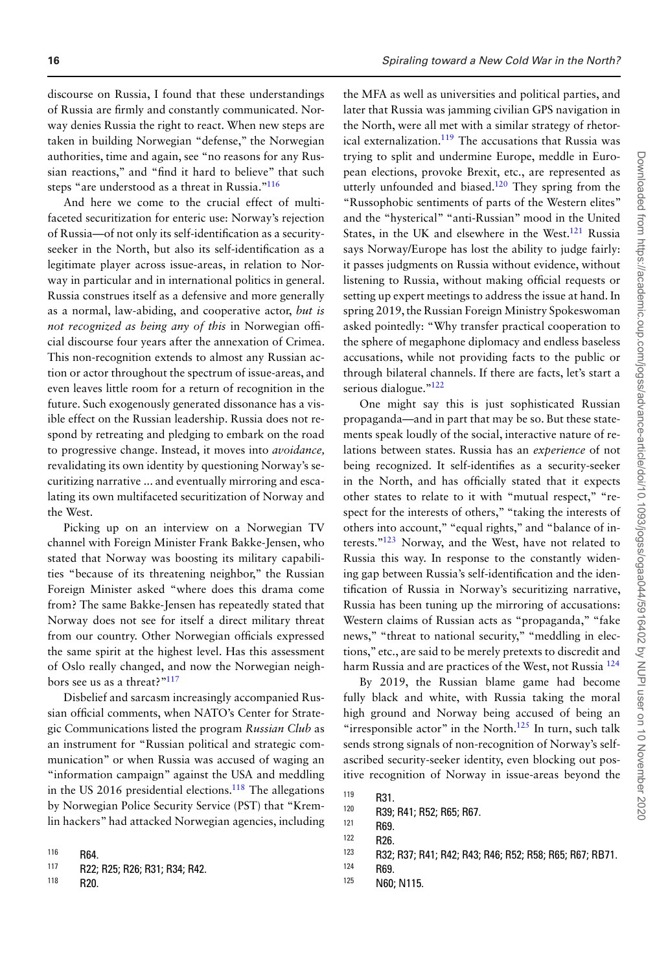discourse on Russia, I found that these understandings of Russia are firmly and constantly communicated. Norway denies Russia the right to react. When new steps are taken in building Norwegian "defense," the Norwegian authorities, time and again, see "no reasons for any Russian reactions," and "find it hard to believe" that such steps "are understood as a threat in Russia."<sup>116</sup>

And here we come to the crucial effect of multifaceted securitization for enteric use: Norway's rejection of Russia—of not only its self-identification as a securityseeker in the North, but also its self-identification as a legitimate player across issue-areas, in relation to Norway in particular and in international politics in general. Russia construes itself as a defensive and more generally as a normal, law-abiding, and cooperative actor, *but is not recognized as being any of this* in Norwegian official discourse four years after the annexation of Crimea. This non-recognition extends to almost any Russian action or actor throughout the spectrum of issue-areas, and even leaves little room for a return of recognition in the future. Such exogenously generated dissonance has a visible effect on the Russian leadership. Russia does not respond by retreating and pledging to embark on the road to progressive change. Instead, it moves into *avoidance,* revalidating its own identity by questioning Norway's securitizing narrative ... and eventually mirroring and escalating its own multifaceted securitization of Norway and the West.

Picking up on an interview on a Norwegian TV channel with Foreign Minister Frank Bakke-Jensen, who stated that Norway was boosting its military capabilities "because of its threatening neighbor," the Russian Foreign Minister asked "where does this drama come from? The same Bakke-Jensen has repeatedly stated that Norway does not see for itself a direct military threat from our country. Other Norwegian officials expressed the same spirit at the highest level. Has this assessment of Oslo really changed, and now the Norwegian neighbors see us as a threat?"<sup>117</sup>

Disbelief and sarcasm increasingly accompanied Russian official comments, when NATO's Center for Strategic Communications listed the program *Russian Club* as an instrument for "Russian political and strategic communication" or when Russia was accused of waging an "information campaign" against the USA and meddling in the US 2016 presidential elections. $118$  The allegations by Norwegian Police Security Service (PST) that "Kremlin hackers" had attacked Norwegian agencies, including

<span id="page-15-0"></span> $\frac{116}{117}$  R64.

- <span id="page-15-2"></span><span id="page-15-1"></span> $^{117}$  R22; R25; R26; R31; R34; R42.
	- R20.

the MFA as well as universities and political parties, and later that Russia was jamming civilian GPS navigation in the North, were all met with a similar strategy of rhetorical externalization.<sup>119</sup> The accusations that Russia was trying to split and undermine Europe, meddle in European elections, provoke Brexit, etc., are represented as utterly unfounded and biased.<sup>120</sup> They spring from the "Russophobic sentiments of parts of the Western elites" and the "hysterical" "anti-Russian" mood in the United States, in the UK and elsewhere in the West. $121$  Russia says Norway/Europe has lost the ability to judge fairly: it passes judgments on Russia without evidence, without listening to Russia, without making official requests or setting up expert meetings to address the issue at hand. In spring 2019, the Russian Foreign Ministry Spokeswoman asked pointedly: "Why transfer practical cooperation to the sphere of megaphone diplomacy and endless baseless accusations, while not providing facts to the public or through bilateral channels. If there are facts, let's start a serious dialogue."<sup>122</sup>

One might say this is just sophisticated Russian propaganda—and in part that may be so. But these statements speak loudly of the social, interactive nature of relations between states. Russia has an *experience* of not being recognized. It self-identifies as a security-seeker in the North, and has officially stated that it expects other states to relate to it with "mutual respect," "respect for the interests of others," "taking the interests of others into account," "equal rights," and "balance of interests.["123](#page-15-7) Norway, and the West, have not related to Russia this way. In response to the constantly widening gap between Russia's self-identification and the identification of Russia in Norway's securitizing narrative, Russia has been tuning up the mirroring of accusations: Western claims of Russian acts as "propaganda," "fake news," "threat to national security," "meddling in elections," etc., are said to be merely pretexts to discredit and harm Russia and are practices of the West, not Russia<sup>[124](#page-15-8)</sup>

By 2019, the Russian blame game had become fully black and white, with Russia taking the moral high ground and Norway being accused of being an "irresponsible actor" in the North. $125$  In turn, such talk sends strong signals of non-recognition of Norway's selfascribed security-seeker identity, even blocking out positive recognition of Norway in issue-areas beyond the

- <span id="page-15-3"></span> $\frac{119}{120}$  R31.
- <span id="page-15-4"></span> $^{120}$  R39; R41; R52; R65; R67.

- <span id="page-15-7"></span><sup>123</sup> R32; R37; R41; R42; R43; R46; R52; R58; R65; R67; RB71.<br><sup>124</sup> PEO
- <span id="page-15-8"></span> $^{124}$  R69.
- <span id="page-15-9"></span>N60; N115.

<span id="page-15-5"></span> $^{121}$  R69.

<span id="page-15-6"></span> $\frac{122}{123}$  R26.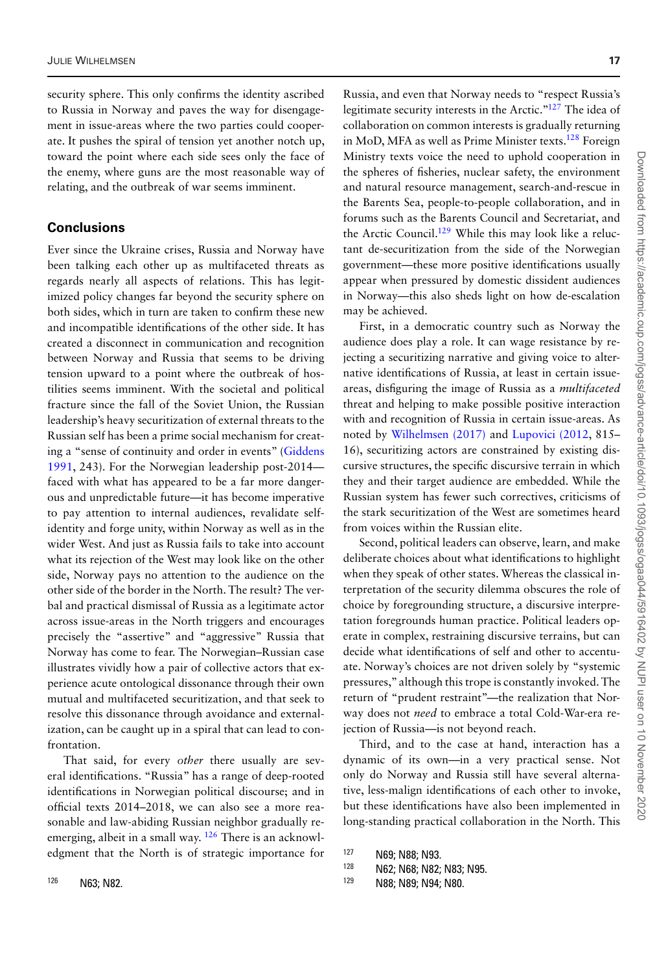security sphere. This only confirms the identity ascribed to Russia in Norway and paves the way for disengagement in issue-areas where the two parties could cooperate. It pushes the spiral of tension yet another notch up, toward the point where each side sees only the face of the enemy, where guns are the most reasonable way of relating, and the outbreak of war seems imminent.

# **Conclusions**

Ever since the Ukraine crises, Russia and Norway have been talking each other up as multifaceted threats as regards nearly all aspects of relations. This has legitimized policy changes far beyond the security sphere on both sides, which in turn are taken to confirm these new and incompatible identifications of the other side. It has created a disconnect in communication and recognition between Norway and Russia that seems to be driving tension upward to a point where the outbreak of hostilities seems imminent. With the societal and political fracture since the fall of the Soviet Union, the Russian leadership's heavy securitization of external threats to the Russian self has been a prime social mechanism for creat[ing a "sense of continuity and order in events" \(Giddens](#page-17-19) 1991, 243). For the Norwegian leadership post-2014 faced with what has appeared to be a far more dangerous and unpredictable future—it has become imperative to pay attention to internal audiences, revalidate selfidentity and forge unity, within Norway as well as in the wider West. And just as Russia fails to take into account what its rejection of the West may look like on the other side, Norway pays no attention to the audience on the other side of the border in the North. The result? The verbal and practical dismissal of Russia as a legitimate actor across issue-areas in the North triggers and encourages precisely the "assertive" and "aggressive" Russia that Norway has come to fear. The Norwegian–Russian case illustrates vividly how a pair of collective actors that experience acute ontological dissonance through their own mutual and multifaceted securitization, and that seek to resolve this dissonance through avoidance and externalization, can be caught up in a spiral that can lead to confrontation.

<span id="page-16-0"></span>That said, for every *other* there usually are several identifications. "Russia" has a range of deep-rooted identifications in Norwegian political discourse; and in official texts 2014–2018, we can also see a more reasonable and law-abiding Russian neighbor gradually re-emerging, albeit in a small way. <sup>[126](#page-16-0)</sup> There is an acknowledgment that the North is of strategic importance for Russia, and even that Norway needs to "respect Russia's legitimate security interests in the Arctic."<sup>127</sup> The idea of collaboration on common interests is gradually returning in MoD, MFA as well as Prime Minister texts.<sup>128</sup> Foreign Ministry texts voice the need to uphold cooperation in the spheres of fisheries, nuclear safety, the environment and natural resource management, search-and-rescue in the Barents Sea, people-to-people collaboration, and in forums such as the Barents Council and Secretariat, and the Arctic Council.<sup>129</sup> While this may look like a reluctant de-securitization from the side of the Norwegian government—these more positive identifications usually appear when pressured by domestic dissident audiences in Norway—this also sheds light on how de-escalation may be achieved.

First, in a democratic country such as Norway the audience does play a role. It can wage resistance by rejecting a securitizing narrative and giving voice to alternative identifications of Russia, at least in certain issueareas, disfiguring the image of Russia as a *multifaceted* threat and helping to make possible positive interaction with and recognition of Russia in certain issue-areas. As noted by [Wilhelmsen \(2017\)](#page-18-15) and [Lupovici \(2012,](#page-18-32) 815– 16), securitizing actors are constrained by existing discursive structures, the specific discursive terrain in which they and their target audience are embedded. While the Russian system has fewer such correctives, criticisms of the stark securitization of the West are sometimes heard from voices within the Russian elite.

Second, political leaders can observe, learn, and make deliberate choices about what identifications to highlight when they speak of other states. Whereas the classical interpretation of the security dilemma obscures the role of choice by foregrounding structure, a discursive interpretation foregrounds human practice. Political leaders operate in complex, restraining discursive terrains, but can decide what identifications of self and other to accentuate. Norway's choices are not driven solely by "systemic pressures," although this trope is constantly invoked. The return of "prudent restraint"—the realization that Norway does not *need* to embrace a total Cold-War-era rejection of Russia—is not beyond reach.

Third, and to the case at hand, interaction has a dynamic of its own—in a very practical sense. Not only do Norway and Russia still have several alternative, less-malign identifications of each other to invoke, but these identifications have also been implemented in long-standing practical collaboration in the North. This

- <span id="page-16-1"></span> $^{127}$  N69; N88; N93.
- <span id="page-16-2"></span> $^{128}$  N62; N68; N82; N83; N95.
- <span id="page-16-3"></span>N88; N89; N94; N80.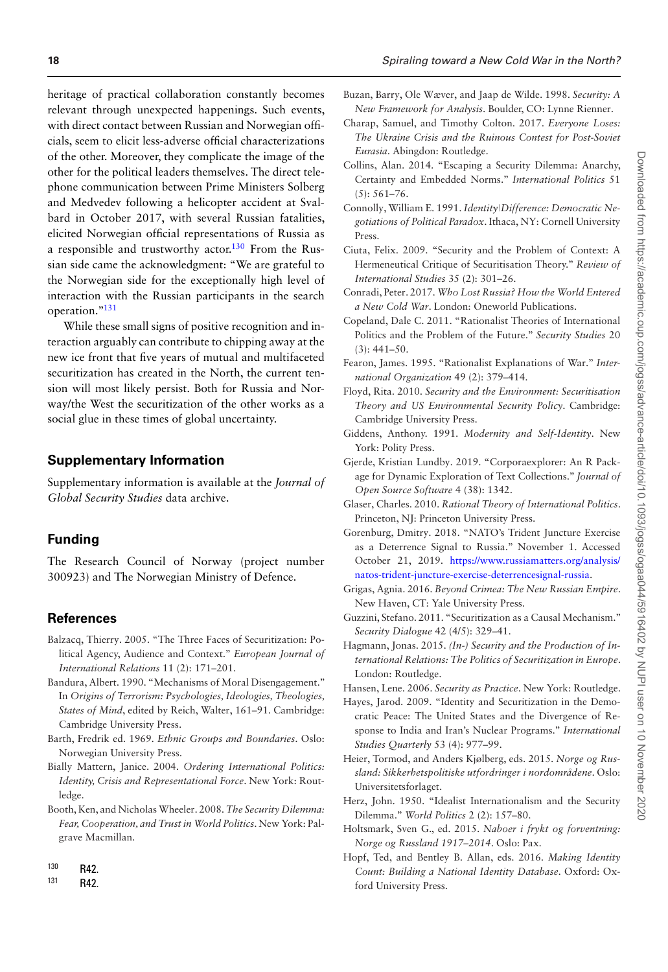<span id="page-17-20"></span><span id="page-17-18"></span><span id="page-17-8"></span><span id="page-17-1"></span>heritage of practical collaboration constantly becomes relevant through unexpected happenings. Such events, with direct contact between Russian and Norwegian officials, seem to elicit less-adverse official characterizations of the other. Moreover, they complicate the image of the other for the political leaders themselves. The direct telephone communication between Prime Ministers Solberg and Medvedev following a helicopter accident at Svalbard in October 2017, with several Russian fatalities, elicited Norwegian official representations of Russia as a responsible and trustworthy actor.<sup>130</sup> From the Russian side came the acknowledgment: "We are grateful to the Norwegian side for the exceptionally high level of interaction with the Russian participants in the search operation.["131](#page-17-28)

<span id="page-17-15"></span><span id="page-17-11"></span><span id="page-17-9"></span><span id="page-17-6"></span><span id="page-17-2"></span>While these small signs of positive recognition and interaction arguably can contribute to chipping away at the new ice front that five years of mutual and multifaceted securitization has created in the North, the current tension will most likely persist. Both for Russia and Norway/the West the securitization of the other works as a social glue in these times of global uncertainty.

# <span id="page-17-22"></span><span id="page-17-19"></span>**Supplementary Information**

<span id="page-17-10"></span>Supplementary information is available at the *Journal of Global Security Studies* data archive.

# <span id="page-17-26"></span>**Funding**

<span id="page-17-0"></span>The Research Council of Norway (project number 300923) and The Norwegian Ministry of Defence.

# <span id="page-17-16"></span>**References**

- <span id="page-17-7"></span><span id="page-17-5"></span>Balzacq, Thierry. 2005. "The Three Faces of Securitization: Political Agency, Audience and Context." *European Journal of International Relations* 11 (2): 171–201.
- <span id="page-17-14"></span><span id="page-17-13"></span><span id="page-17-12"></span>Bandura, Albert. 1990. "Mechanisms of Moral Disengagement." In *Origins of Terrorism: Psychologies, Ideologies, Theologies, States of Mind*, edited by Reich, Walter, 161–91. Cambridge: Cambridge University Press.
- <span id="page-17-17"></span>Barth, Fredrik ed. 1969. *Ethnic Groups and Boundaries*. Oslo: Norwegian University Press.
- <span id="page-17-25"></span><span id="page-17-21"></span>Bially Mattern, Janice. 2004. *Ordering International Politics: Identity, Crisis and Representational Force*. New York: Routledge.
- <span id="page-17-24"></span><span id="page-17-4"></span><span id="page-17-3"></span>Booth, Ken, and Nicholas Wheeler. 2008.*The Security Dilemma: Fear, Cooperation, and Trust in World Politics*. New York: Palgrave Macmillan.

<span id="page-17-27"></span><span id="page-17-23"></span>

| 1 KI<br>$\sim$<br>$\sim$ | ת<br>, |
|--------------------------|--------|
|                          |        |

<span id="page-17-28"></span><sup>131</sup> R42.

- **18** *Spiraling toward a New Cold War in the North?*
	- Buzan, Barry, Ole Wæver, and Jaap de Wilde. 1998. *Security: A New Framework for Analysis*. Boulder, CO: Lynne Rienner.
	- Charap, Samuel, and Timothy Colton. 2017. *Everyone Loses: The Ukraine Crisis and the Ruinous Contest for Post-Soviet Eurasia*. Abingdon: Routledge.
	- Collins, Alan. 2014. "Escaping a Security Dilemma: Anarchy, Certainty and Embedded Norms." *International Politics* 51 (5): 561–76.
	- Connolly, William E. 1991. *Identity\Difference: Democratic Negotiations of Political Paradox*. Ithaca, NY: Cornell University Press.
	- Ciuta, Felix. 2009. "Security and the Problem of Context: A Hermeneutical Critique of Securitisation Theory." *Review of International Studies* 35 (2): 301–26.
	- Conradi, Peter. 2017. *Who Lost Russia? How the World Entered a New Cold War*. London: Oneworld Publications.
	- Copeland, Dale C. 2011. "Rationalist Theories of International Politics and the Problem of the Future." *Security Studies* 20 (3): 441–50.
	- Fearon, James. 1995. "Rationalist Explanations of War." *International Organization* 49 (2): 379–414.
	- Floyd, Rita. 2010. *Security and the Environment: Securitisation Theory and US Environmental Security Policy*. Cambridge: Cambridge University Press.
	- Giddens, Anthony. 1991. *Modernity and Self-Identity*. New York: Polity Press.
	- Gjerde, Kristian Lundby. 2019. "Corporaexplorer: An R Package for Dynamic Exploration of Text Collections." *Journal of Open Source Software* 4 (38): 1342.
	- Glaser, Charles. 2010. *Rational Theory of International Politics*. Princeton, NJ: Princeton University Press.
	- Gorenburg, Dmitry. 2018. "NATO's Trident Juncture Exercise as a Deterrence Signal to Russia." November 1. Accessed October 21, 2019. https://www.russiamatters.org/analysis/ [natos-trident-juncture-exercise-deterrencesignal-russia.](https://www.russiamatters.org/analysis/natos-trident-juncture-exercise-deterrencesignal-russia)
	- Grigas, Agnia. 2016. *Beyond Crimea: The New Russian Empire*. New Haven, CT: Yale University Press.
	- Guzzini, Stefano. 2011. "Securitization as a Causal Mechanism." *Security Dialogue* 42 (4/5): 329–41.
	- Hagmann, Jonas. 2015. *(In-) Security and the Production of International Relations: The Politics of Securitization in Europe*. London: Routledge.
	- Hansen, Lene. 2006. *Security as Practice*. New York: Routledge.
	- Hayes, Jarod. 2009. "Identity and Securitization in the Democratic Peace: The United States and the Divergence of Response to India and Iran's Nuclear Programs." *International Studies Quarterly* 53 (4): 977–99.
	- Heier, Tormod, and Anders Kjølberg, eds. 2015. *Norge og Russland: Sikkerhetspolitiske utfordringer i nordområdene*. Oslo: Universitetsforlaget.
	- Herz, John. 1950. "Idealist Internationalism and the Security Dilemma." *World Politics* 2 (2): 157–80.
	- Holtsmark, Sven G., ed. 2015. *Naboer i frykt og forventning: Norge og Russland 1917–2014*. Oslo: Pax.
	- Hopf, Ted, and Bentley B. Allan, eds. 2016. *Making Identity Count: Building a National Identity Database*. Oxford: Oxford University Press.